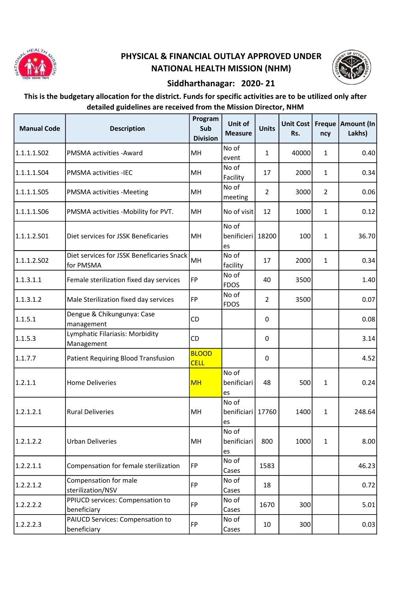

## PHYSICAL & FINANCIAL OUTLAY APPROVED UNDER NATIONAL HEALTH MISSION (NHM)



## Siddharthanagar: 2020- 21

## This is the budgetary allocation for the district. Funds for specific activities are to be utilized only after detailed guidelines are received from the Mission Director, NHM

| <b>Manual Code</b> | <b>Description</b>                                     | Program<br>Sub<br><b>Division</b> | Unit of<br><b>Measure</b>          | <b>Units</b>   | <b>Unit Cost</b><br>Rs. | ncy            | Freque   Amount (In<br>Lakhs) |
|--------------------|--------------------------------------------------------|-----------------------------------|------------------------------------|----------------|-------------------------|----------------|-------------------------------|
| 1.1.1.1.S02        | PMSMA activities - Award                               | MH                                | No of<br>event                     | $\mathbf{1}$   | 40000                   | $\mathbf{1}$   | 0.40                          |
| 1.1.1.1.S04        | PMSMA activities -IEC                                  | MH                                | No of<br>Facility                  | 17             | 2000                    | $\mathbf{1}$   | 0.34                          |
| 1.1.1.1.S05        | PMSMA activities -Meeting                              | MH                                | No of<br>meeting                   | $\overline{2}$ | 3000                    | $\overline{2}$ | 0.06                          |
| 1.1.1.1.S06        | PMSMA activities -Mobility for PVT.                    | MH                                | No of visit                        | 12             | 1000                    | 1              | 0.12                          |
| 1.1.1.2.501        | Diet services for JSSK Beneficaries                    | MH                                | No of<br>benificieri 18200<br>les  |                | 100                     | 1              | 36.70                         |
| 1.1.1.2.502        | Diet services for JSSK Beneficaries Snack<br>for PMSMA | MH                                | No of<br>facility                  | 17             | 2000                    | $\mathbf{1}$   | 0.34                          |
| 1.1.3.1.1          | Female sterilization fixed day services                | FP                                | No of<br><b>FDOS</b>               | 40             | 3500                    |                | 1.40                          |
| 1.1.3.1.2          | Male Sterilization fixed day services                  | FP                                | No of<br><b>FDOS</b>               | $\overline{2}$ | 3500                    |                | 0.07                          |
| 1.1.5.1            | Dengue & Chikungunya: Case<br>management               | <b>CD</b>                         |                                    | 0              |                         |                | 0.08                          |
| 1.1.5.3            | Lymphatic Filariasis: Morbidity<br>Management          | CD                                |                                    | 0              |                         |                | 3.14                          |
| 1.1.7.7            | Patient Requiring Blood Transfusion                    | <b>BLOOD</b><br><b>CELL</b>       |                                    | 0              |                         |                | 4.52                          |
| 1.2.1.1            | <b>Home Deliveries</b>                                 | <b>MH</b>                         | No of<br>benificiari<br>es         | 48             | 500                     | 1              | 0.24                          |
| 1.2.1.2.1          | <b>Rural Deliveries</b>                                | MH                                | No of<br>benificiari   17760<br>es |                | 1400                    | $\mathbf{1}$   | 248.64                        |
| 1.2.1.2.2          | <b>Urban Deliveries</b>                                | MH                                | No of<br>benificiari<br>les        | 800            | 1000                    | $\mathbf{1}$   | 8.00                          |
| 1.2.2.1.1          | Compensation for female sterilization                  | <b>FP</b>                         | No of<br>Cases                     | 1583           |                         |                | 46.23                         |
| 1.2.2.1.2          | Compensation for male<br>sterilization/NSV             | <b>FP</b>                         | No of<br>Cases                     | 18             |                         |                | 0.72                          |
| 1.2.2.2.2          | PPIUCD services: Compensation to<br>beneficiary        | <b>FP</b>                         | No of<br>Cases                     | 1670           | 300                     |                | 5.01                          |
| 1.2.2.2.3          | PAIUCD Services: Compensation to<br>beneficiary        | FP                                | No of<br>Cases                     | 10             | 300                     |                | 0.03                          |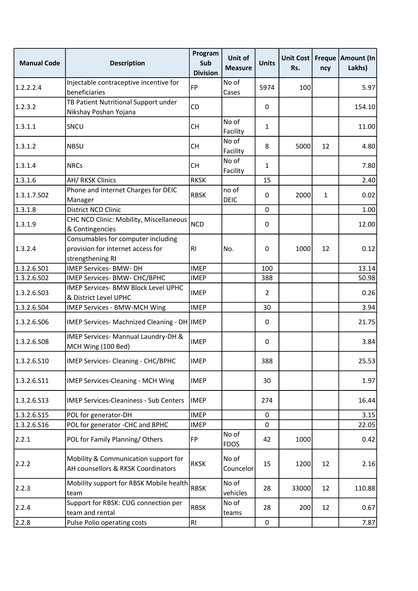| <b>Manual Code</b> | <b>Description</b>                                                                          | Program<br>Sub<br><b>Division</b> | Unit of<br><b>Measure</b> | <b>Units</b>   | Unit Cost<br>Rs. | ncy          | Freque   Amount (In<br>Lakhs) |
|--------------------|---------------------------------------------------------------------------------------------|-----------------------------------|---------------------------|----------------|------------------|--------------|-------------------------------|
| 1.2.2.2.4          | Injectable contraceptive incentive for<br>beneficiaries                                     | <b>FP</b>                         | No of<br>Cases            | 5974           | 100              |              | 5.97                          |
| 1.2.3.2            | TB Patient Nutritional Support under<br>Nikshay Poshan Yojana                               | CD                                |                           | 0              |                  |              | 154.10                        |
| 1.3.1.1            | SNCU                                                                                        | <b>CH</b>                         | No of<br>Facility         | $\mathbf{1}$   |                  |              | 11.00                         |
| 1.3.1.2            | <b>NBSU</b>                                                                                 | <b>CH</b>                         | No of<br>Facility         | 8              | 5000             | 12           | 4.80                          |
| 1.3.1.4            | <b>NRCs</b>                                                                                 | <b>CH</b>                         | No of<br>Facility         | $\mathbf{1}$   |                  |              | 7.80                          |
| 1.3.1.6            | <b>AH/ RKSK Clinics</b>                                                                     | <b>RKSK</b>                       |                           | 15             |                  |              | 2.40                          |
| 1.3.1.7.502        | Phone and Internet Charges for DEIC<br>Manager                                              | <b>RBSK</b>                       | no of<br><b>DEIC</b>      | 0              | 2000             | $\mathbf{1}$ | 0.02                          |
| 1.3.1.8            | <b>District NCD Clinic</b>                                                                  |                                   |                           | 0              |                  |              | 1.00                          |
| 1.3.1.9            | CHC NCD Clinic: Mobility, Miscellaneous<br>& Contingencies                                  | <b>NCD</b>                        |                           | 0              |                  |              | 12.00                         |
| 1.3.2.4            | Consumables for computer including<br>provision for internet access for<br>strengthening RI | R <sub>l</sub>                    | No.                       | 0              | 1000             | 12           | 0.12                          |
| 1.3.2.6.501        | <b>IMEP Services- BMW- DH</b>                                                               | <b>IMEP</b>                       |                           | 100            |                  |              | 13.14                         |
| 1.3.2.6.502        | IMEP Services- BMW- CHC/BPHC                                                                | <b>IMEP</b>                       |                           | 388            |                  |              | 50.98                         |
| 1.3.2.6.503        | IMEP Services- BMW Block Level UPHC<br>& District Level UPHC                                | <b>IMEP</b>                       |                           | $\overline{2}$ |                  |              | 0.26                          |
| 1.3.2.6.504        | IMEP Services - BMW-MCH Wing                                                                | <b>IMEP</b>                       |                           | 30             |                  |              | 3.94                          |
| 1.3.2.6.506        | IMEP Services- Machnized Cleaning - DH   IMEP                                               |                                   |                           | 0              |                  |              | 21.75                         |
| 1.3.2.6.508        | IMEP Services- Mannual Laundry-DH &<br>MCH Wing (100 Bed)                                   | <b>IMEP</b>                       |                           | 0              |                  |              | 3.84                          |
| 1.3.2.6.510        | IMEP Services- Cleaning - CHC/BPHC                                                          | <b>IMEP</b>                       |                           | 388            |                  |              | 25.53                         |
| 1.3.2.6.511        | IMEP Services-Cleaning - MCH Wing                                                           | <b>IMEP</b>                       |                           | 30             |                  |              | 1.97                          |
| 1.3.2.6.513        | <b>IMEP Services-Cleaniness - Sub Centers</b>                                               | <b>IMEP</b>                       |                           | 274            |                  |              | 16.44                         |
| 1.3.2.6.515        | POL for generator-DH                                                                        | <b>IMEP</b>                       |                           | 0              |                  |              | 3.15                          |
| 1.3.2.6.516        | POL for generator -CHC and BPHC                                                             | <b>IMEP</b>                       |                           | $\Omega$       |                  |              | 22.05                         |
| 2.2.1              | POL for Family Planning/Others                                                              | FP                                | No of<br><b>FDOS</b>      | 42             | 1000             |              | 0.42                          |
| 2.2.2              | Mobility & Communication support for<br>AH counsellors & RKSK Coordinators                  | <b>RKSK</b>                       | No of<br>Councelor        | 15             | 1200             | 12           | 2.16                          |
| 2.2.3              | Mobility support for RBSK Mobile health<br>team                                             | <b>RBSK</b>                       | No of<br>vehicles         | 28             | 33000            | 12           | 110.88                        |
| 2.2.4              | Support for RBSK: CUG connection per<br>team and rental                                     | <b>RBSK</b>                       | No of<br>teams            | 28             | 200              | 12           | 0.67                          |
| 2.2.8              | Pulse Polio operating costs                                                                 | RI                                |                           | $\pmb{0}$      |                  |              | 7.87                          |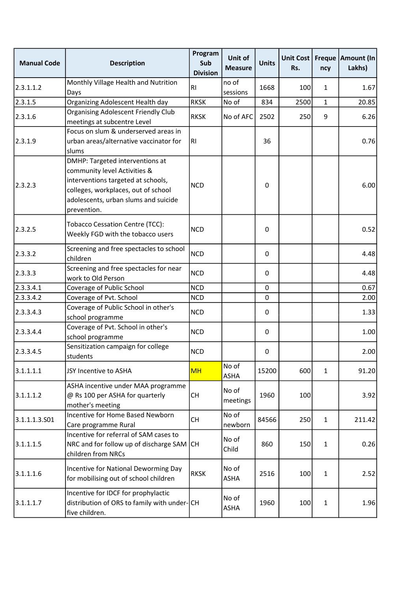| <b>Manual Code</b> | <b>Description</b>                                                                                                                                                                                  | Program<br>Sub<br><b>Division</b> | Unit of<br><b>Measure</b> | <b>Units</b> | Unit Cost<br>Rs. | ncy          | Freque   Amount (In<br>Lakhs) |
|--------------------|-----------------------------------------------------------------------------------------------------------------------------------------------------------------------------------------------------|-----------------------------------|---------------------------|--------------|------------------|--------------|-------------------------------|
| 2.3.1.1.2          | Monthly Village Health and Nutrition<br>Days                                                                                                                                                        | RI                                | no of<br>sessions         | 1668         | 100              | $\mathbf{1}$ | 1.67                          |
| 2.3.1.5            | Organizing Adolescent Health day                                                                                                                                                                    | <b>RKSK</b>                       | No of                     | 834          | 2500             | $\mathbf{1}$ | 20.85                         |
| 2.3.1.6            | <b>Organising Adolescent Friendly Club</b><br>meetings at subcentre Level                                                                                                                           | <b>RKSK</b>                       | No of AFC                 | 2502         | 250              | 9            | 6.26                          |
| 2.3.1.9            | Focus on slum & underserved areas in<br>urban areas/alternative vaccinator for<br>slums                                                                                                             | R <sub>1</sub>                    |                           | 36           |                  |              | 0.76                          |
| 2.3.2.3            | DMHP: Targeted interventions at<br>community level Activities &<br>interventions targeted at schools,<br>colleges, workplaces, out of school<br>adolescents, urban slums and suicide<br>prevention. | <b>NCD</b>                        |                           | 0            |                  |              | 6.00                          |
| 2.3.2.5            | Tobacco Cessation Centre (TCC):<br>Weekly FGD with the tobacco users                                                                                                                                | <b>NCD</b>                        |                           | 0            |                  |              | 0.52                          |
| 2.3.3.2            | Screening and free spectacles to school<br>children                                                                                                                                                 | <b>NCD</b>                        |                           | 0            |                  |              | 4.48                          |
| 2.3.3.3            | Screening and free spectacles for near<br>work to Old Person                                                                                                                                        | <b>NCD</b>                        |                           | 0            |                  |              | 4.48                          |
| 2.3.3.4.1          | Coverage of Public School                                                                                                                                                                           | <b>NCD</b>                        |                           | 0            |                  |              | 0.67                          |
| 2.3.3.4.2          | Coverage of Pvt. School                                                                                                                                                                             | <b>NCD</b>                        |                           | 0            |                  |              | 2.00                          |
| 2.3.3.4.3          | Coverage of Public School in other's<br>school programme                                                                                                                                            | <b>NCD</b>                        |                           | 0            |                  |              | 1.33                          |
| 2.3.3.4.4          | Coverage of Pvt. School in other's<br>school programme                                                                                                                                              | <b>NCD</b>                        |                           | 0            |                  |              | 1.00                          |
| 2.3.3.4.5          | Sensitization campaign for college<br>students                                                                                                                                                      | <b>NCD</b>                        |                           | 0            |                  |              | 2.00                          |
| 3.1.1.1.1          | JSY Incentive to ASHA                                                                                                                                                                               | <b>MH</b>                         | No of<br><b>ASHA</b>      | 15200        | 600              | $\mathbf{1}$ | 91.20                         |
| 3.1.1.1.2          | ASHA incentive under MAA programme<br>@ Rs 100 per ASHA for quarterly<br>mother's meeting                                                                                                           | <b>CH</b>                         | No of<br>meetings         | 1960         | 100              |              | 3.92                          |
| 3.1.1.1.3.501      | Incentive for Home Based Newborn<br>Care programme Rural                                                                                                                                            | <b>CH</b>                         | No of<br>newborn          | 84566        | 250              | $\mathbf{1}$ | 211.42                        |
| 3.1.1.1.5          | Incentive for referral of SAM cases to<br>NRC and for follow up of discharge SAM<br>children from NRCs                                                                                              | <b>CH</b>                         | No of<br>Child            | 860          | 150              | $\mathbf{1}$ | 0.26                          |
| 3.1.1.1.6          | Incentive for National Deworming Day<br>for mobilising out of school children                                                                                                                       | <b>RKSK</b>                       | No of<br>ASHA             | 2516         | 100              | $\mathbf{1}$ | 2.52                          |
| 3.1.1.1.7          | Incentive for IDCF for prophylactic<br>distribution of ORS to family with under-CH<br>five children.                                                                                                |                                   | No of<br><b>ASHA</b>      | 1960         | 100              | $\mathbf{1}$ | 1.96                          |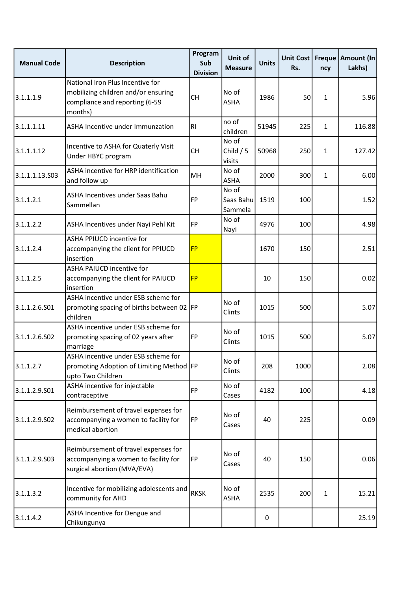| <b>Manual Code</b> | <b>Description</b>                                                                                                   | Program<br>Sub<br><b>Division</b> | Unit of<br><b>Measure</b>     | <b>Units</b> | Unit Cost<br>Rs. | ncy          | Freque   Amount (In<br>Lakhs) |
|--------------------|----------------------------------------------------------------------------------------------------------------------|-----------------------------------|-------------------------------|--------------|------------------|--------------|-------------------------------|
| 3.1.1.1.9          | National Iron Plus Incentive for<br>mobilizing children and/or ensuring<br>compliance and reporting (6-59<br>months) | <b>CH</b>                         | No of<br><b>ASHA</b>          | 1986         | 50               | $\mathbf{1}$ | 5.96                          |
| 3.1.1.1.11         | <b>ASHA Incentive under Immunzation</b>                                                                              | R <sub>1</sub>                    | no of<br>children             | 51945        | 225              | $\mathbf{1}$ | 116.88                        |
| 3.1.1.1.12         | Incentive to ASHA for Quaterly Visit<br>Under HBYC program                                                           | <b>CH</b>                         | No of<br>Child $/5$<br>visits | 50968        | 250              | $\mathbf{1}$ | 127.42                        |
| 3.1.1.1.13.S03     | ASHA incentive for HRP identification<br>and follow up                                                               | MH                                | No of<br>ASHA                 | 2000         | 300              | $\mathbf{1}$ | 6.00                          |
| 3.1.1.2.1          | ASHA Incentives under Saas Bahu<br>Sammellan                                                                         | <b>FP</b>                         | No of<br>Saas Bahu<br>Sammela | 1519         | 100              |              | 1.52                          |
| 3.1.1.2.2          | ASHA Incentives under Nayi Pehl Kit                                                                                  | FP                                | No of<br>Nayi                 | 4976         | 100              |              | 4.98                          |
| 3.1.1.2.4          | <b>ASHA PPIUCD incentive for</b><br>accompanying the client for PPIUCD<br>insertion                                  | <b>FP</b>                         |                               | 1670         | 150              |              | 2.51                          |
| 3.1.1.2.5          | <b>ASHA PAIUCD incentive for</b><br>accompanying the client for PAIUCD<br>insertion                                  | <b>FP</b>                         |                               | 10           | 150              |              | 0.02                          |
| 3.1.1.2.6.S01      | ASHA incentive under ESB scheme for<br>promoting spacing of births between 02   FP<br>children                       |                                   | No of<br>Clints               | 1015         | 500              |              | 5.07                          |
| 3.1.1.2.6.S02      | ASHA incentive under ESB scheme for<br>promoting spacing of 02 years after<br>marriage                               | <b>FP</b>                         | No of<br>Clints               | 1015         | 500              |              | 5.07                          |
| 3.1.1.2.7          | ASHA incentive under ESB scheme for<br>promoting Adoption of Limiting Method FP<br>upto Two Children                 |                                   | No of<br>Clints               | 208          | 1000             |              | 2.08                          |
| 3.1.1.2.9.501      | ASHA incentive for injectable<br>contraceptive                                                                       | <b>FP</b>                         | No of<br>Cases                | 4182         | 100              |              | 4.18                          |
| 3.1.1.2.9.S02      | Reimbursement of travel expenses for<br>accompanying a women to facility for<br>medical abortion                     | FP                                | No of<br>Cases                | 40           | 225              |              | 0.09                          |
| 3.1.1.2.9.503      | Reimbursement of travel expenses for<br>accompanying a women to facility for<br>surgical abortion (MVA/EVA)          | <b>FP</b>                         | No of<br>Cases                | 40           | 150              |              | 0.06                          |
| 3.1.1.3.2          | Incentive for mobilizing adolescents and<br>community for AHD                                                        | <b>RKSK</b>                       | No of<br><b>ASHA</b>          | 2535         | 200              | $\mathbf{1}$ | 15.21                         |
| 3.1.1.4.2          | ASHA Incentive for Dengue and<br>Chikungunya                                                                         |                                   |                               | 0            |                  |              | 25.19                         |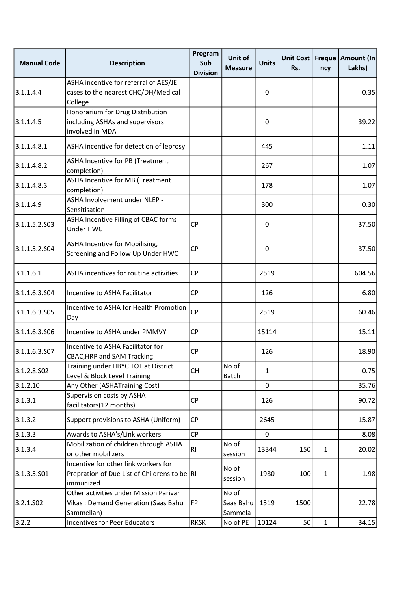| <b>Manual Code</b>    | <b>Description</b>                                                                                | Program<br>Sub<br><b>Division</b> | Unit of<br><b>Measure</b>     | <b>Units</b> | Unit Cost<br>Rs. | ncy          | Freque   Amount (In<br>Lakhs) |
|-----------------------|---------------------------------------------------------------------------------------------------|-----------------------------------|-------------------------------|--------------|------------------|--------------|-------------------------------|
| 3.1.1.4.4             | ASHA incentive for referral of AES/JE<br>cases to the nearest CHC/DH/Medical<br>College           |                                   |                               | 0            |                  |              | 0.35                          |
| 3.1.1.4.5             | Honorarium for Drug Distribution<br>including ASHAs and supervisors<br>involved in MDA            |                                   |                               | 0            |                  |              | 39.22                         |
| 3.1.1.4.8.1           | ASHA incentive for detection of leprosy                                                           |                                   |                               | 445          |                  |              | 1.11                          |
| 3.1.1.4.8.2           | ASHA Incentive for PB (Treatment<br>completion)                                                   |                                   |                               | 267          |                  |              | 1.07                          |
| 3.1.1.4.8.3           | ASHA Incentive for MB (Treatment<br>completion)                                                   |                                   |                               | 178          |                  |              | 1.07                          |
| 3.1.1.4.9             | ASHA Involvement under NLEP -<br>Sensitisation                                                    |                                   |                               | 300          |                  |              | 0.30                          |
| 3.1.1.5.2.503         | ASHA Incentive Filling of CBAC forms<br>Under HWC                                                 | <b>CP</b>                         |                               | 0            |                  |              | 37.50                         |
| 3.1.1.5.2.504         | ASHA Incentive for Mobilising,<br>Screening and Follow Up Under HWC                               | <b>CP</b>                         |                               | 0            |                  |              | 37.50                         |
| 3.1.1.6.1             | ASHA incentives for routine activities                                                            | CP                                |                               | 2519         |                  |              | 604.56                        |
| 3.1.1.6.3.504         | Incentive to ASHA Facilitator                                                                     | <b>CP</b>                         |                               | 126          |                  |              | 6.80                          |
| 3.1.1.6.3.505         | Incentive to ASHA for Health Promotion<br>Day                                                     | <b>CP</b>                         |                               | 2519         |                  |              | 60.46                         |
| 3.1.1.6.3.506         | Incentive to ASHA under PMMVY                                                                     | CP                                |                               | 15114        |                  |              | 15.11                         |
| 3.1.1.6.3.507         | Incentive to ASHA Facilitator for<br><b>CBAC, HRP and SAM Tracking</b>                            | <b>CP</b>                         |                               | 126          |                  |              | 18.90                         |
| 3.1.2.8.502           | Training under HBYC TOT at District<br>Level & Block Level Training                               | <b>CH</b>                         | No of<br><b>Batch</b>         | $\mathbf{1}$ |                  |              | 0.75                          |
| 3.1.2.10              | Any Other (ASHATraining Cost)                                                                     |                                   |                               | 0            |                  |              | 35.76                         |
| 3.1.3.1               | Supervision costs by ASHA<br>facilitators(12 months)                                              | <b>CP</b>                         |                               | 126          |                  |              | 90.72                         |
| 3.1.3.2               | Support provisions to ASHA (Uniform)                                                              | CP                                |                               | 2645         |                  |              | 15.87                         |
| 3.1.3.3               | Awards to ASHA's/Link workers                                                                     | <b>CP</b>                         |                               | 0            |                  |              | 8.08                          |
| 3.1.3.4               | Mobilization of children through ASHA<br>or other mobilizers                                      | R1                                | No of<br>session              | 13344        | 150              | $\mathbf{1}$ | 20.02                         |
| 3.1.3.5.501           | Incentive for other link workers for<br>Prepration of Due List of Childrens to be RI<br>immunized |                                   | No of<br>session              | 1980         | 100              | $\mathbf{1}$ | 1.98                          |
| 3.2.1.SO <sub>2</sub> | Other activities under Mission Parivar<br>Vikas: Demand Generation (Saas Bahu<br>Sammellan)       | FP                                | No of<br>Saas Bahu<br>Sammela | 1519         | 1500             |              | 22.78                         |
| 3.2.2                 | Incentives for Peer Educators                                                                     | <b>RKSK</b>                       | No of PE                      | 10124        | 50               | $\mathbf{1}$ | 34.15                         |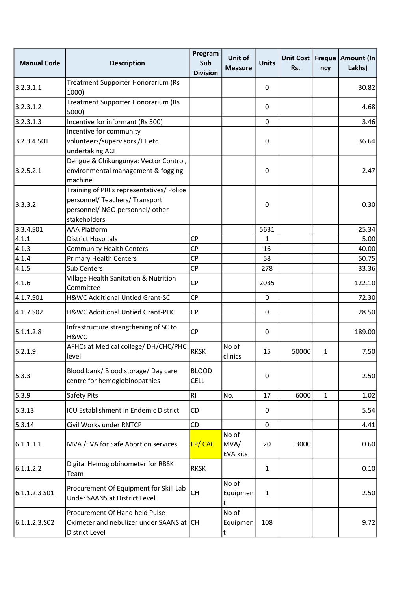| <b>Manual Code</b> | <b>Description</b>                                                                                                             | Program<br>Sub<br><b>Division</b> | Unit of<br><b>Measure</b>        | <b>Units</b> | Unit Cost<br>Rs. | ncy          | Freque   Amount (In<br>Lakhs) |
|--------------------|--------------------------------------------------------------------------------------------------------------------------------|-----------------------------------|----------------------------------|--------------|------------------|--------------|-------------------------------|
| 3.2.3.1.1          | Treatment Supporter Honorarium (Rs<br>1000)                                                                                    |                                   |                                  | 0            |                  |              | 30.82                         |
| 3.2.3.1.2          | Treatment Supporter Honorarium (Rs<br>5000)                                                                                    |                                   |                                  | 0            |                  |              | 4.68                          |
| 3.2.3.1.3          | Incentive for informant (Rs 500)                                                                                               |                                   |                                  | 0            |                  |              | 3.46                          |
| 3.2.3.4.501        | Incentive for community<br>volunteers/supervisors/LT etc<br>undertaking ACF                                                    |                                   |                                  | 0            |                  |              | 36.64                         |
| 3.2.5.2.1          | Dengue & Chikungunya: Vector Control,<br>environmental management & fogging<br>machine                                         |                                   |                                  | 0            |                  |              | 2.47                          |
| 3.3.3.2            | Training of PRI's representatives/ Police<br>personnel/ Teachers/ Transport<br>personnel/ NGO personnel/ other<br>stakeholders |                                   |                                  | 0            |                  |              | 0.30                          |
| 3.3.4.S01          | <b>AAA Platform</b>                                                                                                            |                                   |                                  | 5631         |                  |              | 25.34                         |
| 4.1.1              | <b>District Hospitals</b>                                                                                                      | <b>CP</b>                         |                                  | 1            |                  |              | 5.00                          |
| 4.1.3              | <b>Community Health Centers</b>                                                                                                | <b>CP</b>                         |                                  | 16           |                  |              | 40.00                         |
| 4.1.4              | <b>Primary Health Centers</b>                                                                                                  | CP                                |                                  | 58           |                  |              | 50.75                         |
| 4.1.5              | <b>Sub Centers</b>                                                                                                             | CP                                |                                  | 278          |                  |              | 33.36                         |
| 4.1.6              | Village Health Sanitation & Nutrition<br>Committee                                                                             | <b>CP</b>                         |                                  | 2035         |                  |              | 122.10                        |
| 4.1.7.501          | H&WC Additional Untied Grant-SC                                                                                                | CP                                |                                  | $\mathbf 0$  |                  |              | 72.30                         |
| 4.1.7.502          | H&WC Additional Untied Grant-PHC                                                                                               | <b>CP</b>                         |                                  | 0            |                  |              | 28.50                         |
| 5.1.1.2.8          | Infrastructure strengthening of SC to<br>H&WC                                                                                  | <b>CP</b>                         |                                  | 0            |                  |              | 189.00                        |
| 5.2.1.9            | AFHCs at Medical college/ DH/CHC/PHC<br>level                                                                                  | <b>RKSK</b>                       | No of<br>clinics                 | 15           | 50000            | $\mathbf{1}$ | 7.50                          |
| 5.3.3              | Blood bank/ Blood storage/ Day care<br>centre for hemoglobinopathies                                                           | <b>BLOOD</b><br><b>CELL</b>       |                                  | 0            |                  |              | 2.50                          |
| 5.3.9              | Safety Pits                                                                                                                    | <b>RI</b>                         | No.                              | 17           | 6000             | $\mathbf{1}$ | 1.02                          |
| 5.3.13             | ICU Establishment in Endemic District                                                                                          | CD                                |                                  | 0            |                  |              | 5.54                          |
| 5.3.14             | Civil Works under RNTCP                                                                                                        | CD                                |                                  | 0            |                  |              | 4.41                          |
| 6.1.1.1.1          | MVA / EVA for Safe Abortion services                                                                                           | FP/CAC                            | No of<br>MVA/<br><b>EVA kits</b> | 20           | 3000             |              | 0.60                          |
| 6.1.1.2.2          | Digital Hemoglobinometer for RBSK<br>Team                                                                                      | <b>RKSK</b>                       |                                  | $\mathbf{1}$ |                  |              | 0.10                          |
| 6.1.1.2.3 S01      | Procurement Of Equipment for Skill Lab<br><b>Under SAANS at District Level</b>                                                 | <b>CH</b>                         | No of<br>Equipmen<br>t           | $\mathbf{1}$ |                  |              | 2.50                          |
| 6.1.1.2.3.502      | Procurement Of Hand held Pulse<br>Oximeter and nebulizer under SAANS at CH<br>District Level                                   |                                   | No of<br>Equipmen<br>t           | 108          |                  |              | 9.72                          |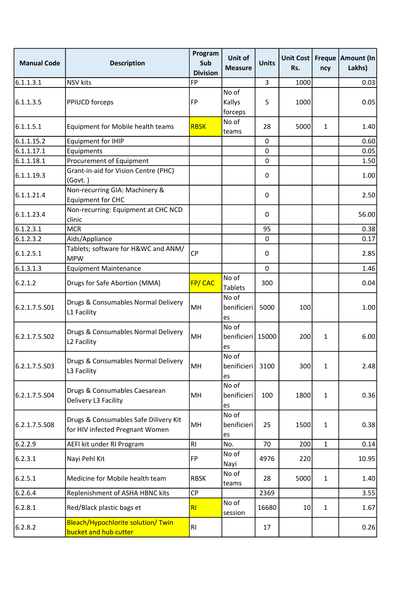| <b>Manual Code</b> | <b>Description</b>                                                       | Program<br>Sub<br><b>Division</b> | Unit of<br><b>Measure</b>          | <b>Units</b> | Unit Cost<br>Rs. | ncy          | Freque   Amount (In<br>Lakhs) |
|--------------------|--------------------------------------------------------------------------|-----------------------------------|------------------------------------|--------------|------------------|--------------|-------------------------------|
| 6.1.1.3.1          | <b>NSV</b> kits                                                          | FP                                |                                    | 3            | 1000             |              | 0.03                          |
| 6.1.1.3.5          | <b>PPIUCD forceps</b>                                                    | FP                                | No of<br>Kallys<br>forceps         | 5            | 1000             |              | 0.05                          |
| 6.1.1.5.1          | Equipment for Mobile health teams                                        | <b>RBSK</b>                       | No of<br>teams                     | 28           | 5000             | $\mathbf{1}$ | 1.40                          |
| 6.1.1.15.2         | <b>Equipment for IHIP</b>                                                |                                   |                                    | $\pmb{0}$    |                  |              | 0.60                          |
| 6.1.1.17.1         | Equipments                                                               |                                   |                                    | $\mathbf 0$  |                  |              | 0.05                          |
| 6.1.1.18.1         | Procurement of Equipment                                                 |                                   |                                    | 0            |                  |              | 1.50                          |
| 6.1.1.19.3         | Grant-in-aid for Vision Centre (PHC)<br>(Govt.)                          |                                   |                                    | 0            |                  |              | 1.00                          |
| 6.1.1.21.4         | Non-recurring GIA: Machinery &<br><b>Equipment for CHC</b>               |                                   |                                    | 0            |                  |              | 2.50                          |
| 6.1.1.23.4         | Non-recurring: Equipment at CHC NCD<br>clinic                            |                                   |                                    | 0            |                  |              | 56.00                         |
| 6.1.2.3.1          | <b>MCR</b>                                                               |                                   |                                    | 95           |                  |              | 0.38                          |
| 6.1.2.3.2          | Aids/Appliance                                                           |                                   |                                    | 0            |                  |              | 0.17                          |
| 6.1.2.5.1          | Tablets; software for H&WC and ANM/<br><b>MPW</b>                        | <b>CP</b>                         |                                    | 0            |                  |              | 2.85                          |
| 6.1.3.1.3          | <b>Equipment Maintenance</b>                                             |                                   |                                    | 0            |                  |              | 1.46                          |
| 6.2.1.2            | Drugs for Safe Abortion (MMA)                                            | FP/CAC                            | No of<br><b>Tablets</b>            | 300          |                  |              | 0.04                          |
| 6.2.1.7.5.S01      | Drugs & Consumables Normal Delivery<br>L1 Facility                       | MH                                | No of<br>benificieri<br>es         | 5000         | 100              |              | 1.00                          |
| 6.2.1.7.5.S02      | Drugs & Consumables Normal Delivery<br>L <sub>2</sub> Facility           | MH                                | No of<br>benificieri   15000<br>es |              | 200              | 1            | 6.00                          |
| 6.2.1.7.5.503      | Drugs & Consumables Normal Delivery<br>L3 Facility                       | MH                                | No of<br>benificieri<br>es         | 3100         | 300              | $\mathbf{1}$ | 2.48                          |
| 6.2.1.7.5.504      | Drugs & Consumables Caesarean<br>Delivery L3 Facility                    | MH                                | No of<br>benificieri<br>es         | 100          | 1800             | $\mathbf{1}$ | 0.36                          |
| 6.2.1.7.5.508      | Drugs & Consumables Safe Dilivery Kit<br>for HIV infected Pregnant Women | MH                                | No of<br>benificieri<br>es         | 25           | 1500             | $\mathbf{1}$ | 0.38                          |
| 6.2.2.9            | AEFI kit under RI Program                                                | RI                                | No.                                | 70           | 200              | $\mathbf{1}$ | 0.14                          |
| 6.2.3.1            | Nayi Pehl Kit                                                            | <b>FP</b>                         | No of<br>Nayi                      | 4976         | 220              |              | 10.95                         |
| 6.2.5.1            | Medicine for Mobile health team                                          | <b>RBSK</b>                       | No of<br>teams                     | 28           | 5000             | $\mathbf{1}$ | 1.40                          |
| 6.2.6.4            | Replenishment of ASHA HBNC kits                                          | <b>CP</b>                         |                                    | 2369         |                  |              | 3.55                          |
| 6.2.8.1            | Red/Black plastic bags et                                                | R <sub>l</sub>                    | No of<br>session                   | 16680        | 10               | $\mathbf{1}$ | 1.67                          |
| 6.2.8.2            | Bleach/Hypochlorite solution/ Twin<br>bucket and hub cutter              | RI                                |                                    | 17           |                  |              | 0.26                          |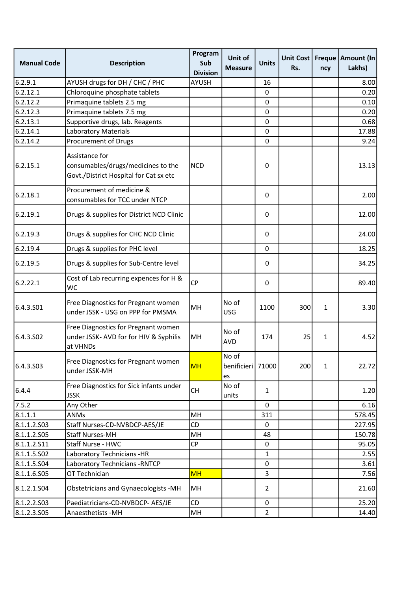| <b>Manual Code</b> | <b>Description</b>                                                                             | Program<br>Sub<br><b>Division</b> | Unit of<br><b>Measure</b>          | <b>Units</b>   | Unit Cost<br>Rs. | ncy          | Freque   Amount (In<br>Lakhs) |
|--------------------|------------------------------------------------------------------------------------------------|-----------------------------------|------------------------------------|----------------|------------------|--------------|-------------------------------|
| 6.2.9.1            | AYUSH drugs for DH / CHC / PHC                                                                 | <b>AYUSH</b>                      |                                    | 16             |                  |              | 8.00                          |
| 6.2.12.1           | Chloroquine phosphate tablets                                                                  |                                   |                                    | 0              |                  |              | 0.20                          |
| 6.2.12.2           | Primaquine tablets 2.5 mg                                                                      |                                   |                                    | 0              |                  |              | 0.10                          |
| 6.2.12.3           | Primaquine tablets 7.5 mg                                                                      |                                   |                                    | 0              |                  |              | 0.20                          |
| 6.2.13.1           | Supportive drugs, lab. Reagents                                                                |                                   |                                    | 0              |                  |              | 0.68                          |
| 6.2.14.1           | <b>Laboratory Materials</b>                                                                    |                                   |                                    | 0              |                  |              | 17.88                         |
| 6.2.14.2           | Procurement of Drugs                                                                           |                                   |                                    | 0              |                  |              | 9.24                          |
| 6.2.15.1           | Assistance for<br>consumables/drugs/medicines to the<br>Govt./District Hospital for Cat sx etc | <b>NCD</b>                        |                                    | 0              |                  |              | 13.13                         |
| 6.2.18.1           | Procurement of medicine &<br>consumables for TCC under NTCP                                    |                                   |                                    | 0              |                  |              | 2.00                          |
| 6.2.19.1           | Drugs & supplies for District NCD Clinic                                                       |                                   |                                    | 0              |                  |              | 12.00                         |
| 6.2.19.3           | Drugs & supplies for CHC NCD Clinic                                                            |                                   |                                    | 0              |                  |              | 24.00                         |
| 6.2.19.4           | Drugs & supplies for PHC level                                                                 |                                   |                                    | 0              |                  |              | 18.25                         |
| 6.2.19.5           | Drugs & supplies for Sub-Centre level                                                          |                                   |                                    | 0              |                  |              | 34.25                         |
| 6.2.22.1           | Cost of Lab recurring expences for H &<br>WC                                                   | <b>CP</b>                         |                                    | 0              |                  |              | 89.40                         |
| 6.4.3.S01          | Free Diagnostics for Pregnant women<br>under JSSK - USG on PPP for PMSMA                       | MH                                | No of<br><b>USG</b>                | 1100           | 300              | $\mathbf{1}$ | 3.30                          |
| 6.4.3.502          | Free Diagnostics for Pregnant women<br>under JSSK- AVD for for HIV & Syphilis<br>at VHNDs      | MH                                | No of<br><b>AVD</b>                | 174            | 25               | $\mathbf{1}$ | 4.52                          |
| 6.4.3.503          | Free Diagnostics for Pregnant women<br>under JSSK-MH                                           | <b>MH</b>                         | No of<br>benificieri   71000<br>es |                | 200              | $\mathbf{1}$ | 22.72                         |
| 6.4.4              | Free Diagnostics for Sick infants under<br><b>JSSK</b>                                         | <b>CH</b>                         | No of<br>units                     | 1              |                  |              | 1.20                          |
| 7.5.2              | Any Other                                                                                      |                                   |                                    | 0              |                  |              | 6.16                          |
| 8.1.1.1            | ANMs                                                                                           | MН                                |                                    | 311            |                  |              | 578.45                        |
| 8.1.1.2.503        | Staff Nurses-CD-NVBDCP-AES/JE                                                                  | CD                                |                                    | 0              |                  |              | 227.95                        |
| 8.1.1.2.505        | <b>Staff Nurses-MH</b>                                                                         | MH                                |                                    | 48             |                  |              | 150.78                        |
| 8.1.1.2.511        | Staff Nurse - HWC                                                                              | CP                                |                                    | 0              |                  |              | 95.05                         |
| 8.1.1.5.502        | Laboratory Technicians -HR                                                                     |                                   |                                    | 1              |                  |              | 2.55                          |
| 8.1.1.5.504        | Laboratory Technicians - RNTCP                                                                 |                                   |                                    | 0              |                  |              | 3.61                          |
| 8.1.1.6.S05        | OT Technician                                                                                  | <b>MH</b>                         |                                    | 3              |                  |              | 7.56                          |
| 8.1.2.1.504        | Obstetricians and Gynaecologists -MH                                                           | MH                                |                                    | $\overline{2}$ |                  |              | 21.60                         |
| 8.1.2.2.503        | Paediatricians-CD-NVBDCP- AES/JE                                                               | <b>CD</b>                         |                                    | $\pmb{0}$      |                  |              | 25.20                         |
| 8.1.2.3.505        | Anaesthetists - MH                                                                             | MH                                |                                    | $\overline{2}$ |                  |              | 14.40                         |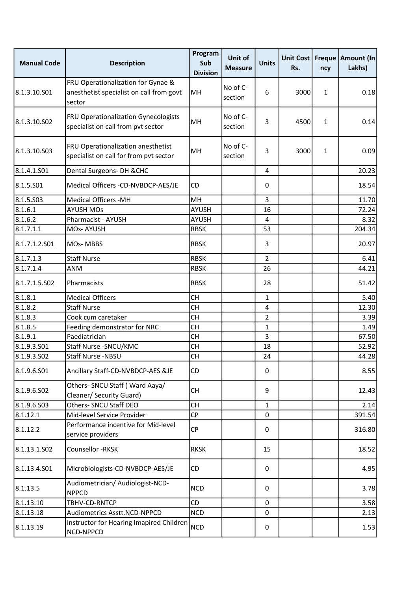| <b>Manual Code</b> | <b>Description</b>                                                                       | Program<br>Sub<br><b>Division</b> | Unit of<br><b>Measure</b> | <b>Units</b>   | Unit Cost<br>Rs. | ncy          | Freque   Amount (In<br>Lakhs) |
|--------------------|------------------------------------------------------------------------------------------|-----------------------------------|---------------------------|----------------|------------------|--------------|-------------------------------|
| 8.1.3.10.501       | FRU Operationalization for Gynae &<br>anesthetist specialist on call from govt<br>sector | MH                                | No of C-<br>section       | 6              | 3000             | $\mathbf{1}$ | 0.18                          |
| 8.1.3.10.502       | <b>FRU Operationalization Gynecologists</b><br>specialist on call from pvt sector        | MH                                | No of C-<br>section       | 3              | 4500             | $\mathbf{1}$ | 0.14                          |
| 8.1.3.10.503       | FRU Operationalization anesthetist<br>specialist on call for from pvt sector             | MH                                | No of C-<br>section       | 3              | 3000             | 1            | 0.09                          |
| 8.1.4.1.501        | Dental Surgeons- DH & CHC                                                                |                                   |                           | 4              |                  |              | 20.23                         |
| 8.1.5.501          | Medical Officers -CD-NVBDCP-AES/JE                                                       | <b>CD</b>                         |                           | 0              |                  |              | 18.54                         |
| 8.1.5.503          | <b>Medical Officers -MH</b>                                                              | MH                                |                           | 3              |                  |              | 11.70                         |
| 8.1.6.1            | <b>AYUSH MOs</b>                                                                         | <b>AYUSH</b>                      |                           | 16             |                  |              | 72.24                         |
| 8.1.6.2            | Pharmacist - AYUSH                                                                       | AYUSH                             |                           | 4              |                  |              | 8.32                          |
| 8.1.7.1.1          | MOs-AYUSH                                                                                | <b>RBSK</b>                       |                           | 53             |                  |              | 204.34                        |
| 8.1.7.1.2.501      | MOs-MBBS                                                                                 | <b>RBSK</b>                       |                           | 3              |                  |              | 20.97                         |
| 8.1.7.1.3          | <b>Staff Nurse</b>                                                                       | <b>RBSK</b>                       |                           | $\overline{2}$ |                  |              | 6.41                          |
| 8.1.7.1.4          | <b>ANM</b>                                                                               | <b>RBSK</b>                       |                           | 26             |                  |              | 44.21                         |
| 8.1.7.1.5.502      | Pharmacists                                                                              | <b>RBSK</b>                       |                           | 28             |                  |              | 51.42                         |
| 8.1.8.1            | <b>Medical Officers</b>                                                                  | <b>CH</b>                         |                           | $\mathbf{1}$   |                  |              | 5.40                          |
| 8.1.8.2            | <b>Staff Nurse</b>                                                                       | <b>CH</b>                         |                           | 4              |                  |              | 12.30                         |
| 8.1.8.3            | Cook cum caretaker                                                                       | <b>CH</b>                         |                           | $\overline{2}$ |                  |              | 3.39                          |
| 8.1.8.5            | Feeding demonstrator for NRC                                                             | <b>CH</b>                         |                           | $\mathbf{1}$   |                  |              | 1.49                          |
| 8.1.9.1            | Paediatrician                                                                            | <b>CH</b>                         |                           | 3              |                  |              | 67.50                         |
| 8.1.9.3.501        | Staff Nurse - SNCU/KMC                                                                   | <b>CH</b>                         |                           | 18             |                  |              | 52.92                         |
| 8.1.9.3.502        | Staff Nurse -NBSU                                                                        | <b>CH</b>                         |                           | 24             |                  |              | 44.28                         |
| 8.1.9.6.501        | Ancillary Staff-CD-NVBDCP-AES &JE                                                        | CD                                |                           | 0              |                  |              | 8.55                          |
| 8.1.9.6.S02        | Others- SNCU Staff (Ward Aaya/<br>Cleaner/ Security Guard)                               | <b>CH</b>                         |                           | 9              |                  |              | 12.43                         |
| 8.1.9.6.S03        | Others- SNCU Staff DEO                                                                   | <b>CH</b>                         |                           | $\mathbf{1}$   |                  |              | 2.14                          |
| 8.1.12.1           | Mid-level Service Provider                                                               | CP                                |                           | 0              |                  |              | 391.54                        |
| 8.1.12.2           | Performance incentive for Mid-level<br>service providers                                 | CP                                |                           | 0              |                  |              | 316.80                        |
| 8.1.13.1.S02       | Counsellor -RKSK                                                                         | <b>RKSK</b>                       |                           | 15             |                  |              | 18.52                         |
| 8.1.13.4.S01       | Microbiologists-CD-NVBDCP-AES/JE                                                         | CD                                |                           | 0              |                  |              | 4.95                          |
| 8.1.13.5           | Audiometrician/ Audiologist-NCD-<br><b>NPPCD</b>                                         | <b>NCD</b>                        |                           | 0              |                  |              | 3.78                          |
| 8.1.13.10          | TBHV-CD-RNTCP                                                                            | <b>CD</b>                         |                           | 0              |                  |              | 3.58                          |
| 8.1.13.18          | Audiometrics Asstt.NCD-NPPCD                                                             | <b>NCD</b>                        |                           | 0              |                  |              | 2.13                          |
| 8.1.13.19          | Instructor for Hearing Imapired Children-<br>NCD-NPPCD                                   | <b>NCD</b>                        |                           | 0              |                  |              | 1.53                          |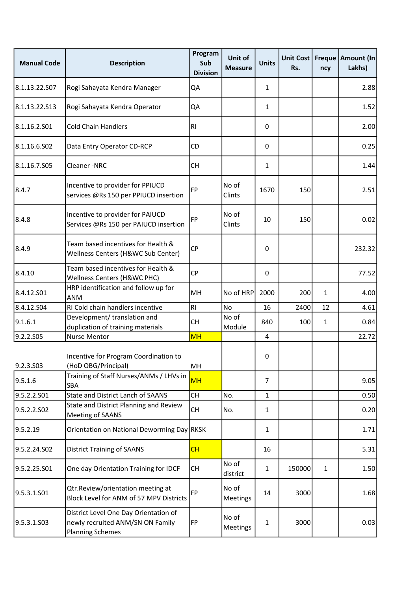| <b>Manual Code</b> | <b>Description</b>                                                                                   | Program<br>Sub<br><b>Division</b> | Unit of<br><b>Measure</b> | <b>Units</b> | Unit Cost<br>Rs. | ncy          | Freque   Amount (In<br>Lakhs) |
|--------------------|------------------------------------------------------------------------------------------------------|-----------------------------------|---------------------------|--------------|------------------|--------------|-------------------------------|
| 8.1.13.22.S07      | Rogi Sahayata Kendra Manager                                                                         | QA                                |                           | $\mathbf{1}$ |                  |              | 2.88                          |
| 8.1.13.22.S13      | Rogi Sahayata Kendra Operator                                                                        | QA                                |                           | $\mathbf{1}$ |                  |              | 1.52                          |
| 8.1.16.2.S01       | <b>Cold Chain Handlers</b>                                                                           | <b>RI</b>                         |                           | 0            |                  |              | 2.00                          |
| 8.1.16.6.S02       | Data Entry Operator CD-RCP                                                                           | CD                                |                           | 0            |                  |              | 0.25                          |
| 8.1.16.7.S05       | Cleaner-NRC                                                                                          | <b>CH</b>                         |                           | $\mathbf{1}$ |                  |              | 1.44                          |
| 8.4.7              | Incentive to provider for PPIUCD<br>services @Rs 150 per PPIUCD insertion                            | FP                                | No of<br>Clints           | 1670         | 150              |              | 2.51                          |
| 8.4.8              | Incentive to provider for PAIUCD<br>Services @Rs 150 per PAIUCD insertion                            | <b>FP</b>                         | No of<br>Clints           | 10           | 150              |              | 0.02                          |
| 8.4.9              | Team based incentives for Health &<br>Wellness Centers (H&WC Sub Center)                             | <b>CP</b>                         |                           | 0            |                  |              | 232.32                        |
| 8.4.10             | Team based incentives for Health &<br>Wellness Centers (H&WC PHC)                                    | <b>CP</b>                         |                           | 0            |                  |              | 77.52                         |
| 8.4.12.501         | HRP identification and follow up for<br><b>ANM</b>                                                   | MH                                | No of HRP                 | 2000         | 200              | $\mathbf{1}$ | 4.00                          |
| 8.4.12.504         | RI Cold chain handlers incentive                                                                     | <b>RI</b>                         | No                        | 16           | 2400             | 12           | 4.61                          |
| 9.1.6.1            | Development/ translation and<br>duplication of training materials                                    | <b>CH</b>                         | No of<br>Module           | 840          | 100              | $\mathbf{1}$ | 0.84                          |
| 9.2.2.S05          | Nurse Mentor                                                                                         | <b>MH</b>                         |                           | 4            |                  |              | 22.72                         |
| 9.2.3.S03          | Incentive for Program Coordination to<br>(HoD OBG/Principal)                                         | MH                                |                           | 0            |                  |              |                               |
| 9.5.1.6            | Training of Staff Nurses/ANMs / LHVs in<br><b>SBA</b>                                                | <b>MH</b>                         |                           | 7            |                  |              | 9.05                          |
| 9.5.2.2.S01        | State and District Lanch of SAANS                                                                    | <b>CH</b>                         | No.                       | $\mathbf{1}$ |                  |              | 0.50                          |
| 9.5.2.2.502        | State and District Planning and Review<br>Meeting of SAANS                                           | CH                                | No.                       | 1            |                  |              | 0.20                          |
| 9.5.2.19           | Orientation on National Deworming Day RKSK                                                           |                                   |                           | $\mathbf{1}$ |                  |              | 1.71                          |
| 9.5.2.24.S02       | <b>District Training of SAANS</b>                                                                    | CH                                |                           | 16           |                  |              | 5.31                          |
| 9.5.2.25.S01       | One day Orientation Training for IDCF                                                                | <b>CH</b>                         | No of<br>district         | $\mathbf{1}$ | 150000           | $\mathbf{1}$ | 1.50                          |
| 9.5.3.1.S01        | Qtr.Review/orientation meeting at<br>Block Level for ANM of 57 MPV Districts                         | FP                                | No of<br>Meetings         | 14           | 3000             |              | 1.68                          |
| 9.5.3.1.S03        | District Level One Day Orientation of<br>newly recruited ANM/SN ON Family<br><b>Planning Schemes</b> | FP                                | No of<br>Meetings         | 1            | 3000             |              | 0.03                          |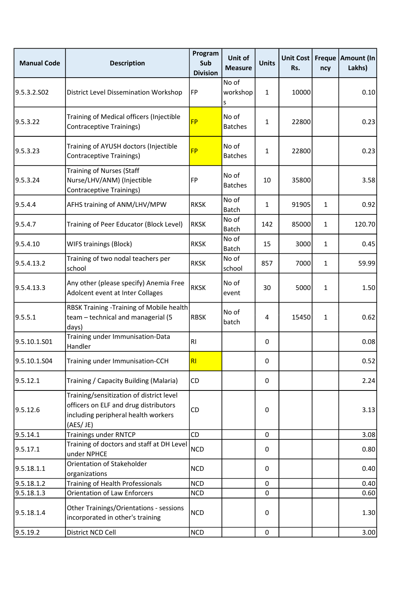| <b>Manual Code</b> | <b>Description</b>                                                                                                                   | Program<br>Sub<br><b>Division</b> | Unit of<br><b>Measure</b> | <b>Units</b> | <b>Unit Cost</b><br>Rs. | <b>Freque</b><br>ncy | Amount (In<br>Lakhs) |
|--------------------|--------------------------------------------------------------------------------------------------------------------------------------|-----------------------------------|---------------------------|--------------|-------------------------|----------------------|----------------------|
| 9.5.3.2.502        | <b>District Level Dissemination Workshop</b>                                                                                         | FP                                | No of<br>workshop<br>s    | $\mathbf{1}$ | 10000                   |                      | 0.10                 |
| 9.5.3.22           | Training of Medical officers (Injectible<br>Contraceptive Trainings)                                                                 | <b>FP</b>                         | No of<br><b>Batches</b>   | 1            | 22800                   |                      | 0.23                 |
| 9.5.3.23           | Training of AYUSH doctors (Injectible<br>Contraceptive Trainings)                                                                    | <b>FP</b>                         | No of<br><b>Batches</b>   | 1            | 22800                   |                      | 0.23                 |
| 9.5.3.24           | <b>Training of Nurses (Staff</b><br>Nurse/LHV/ANM) (Injectible<br>Contraceptive Trainings)                                           | <b>FP</b>                         | No of<br><b>Batches</b>   | 10           | 35800                   |                      | 3.58                 |
| 9.5.4.4            | AFHS training of ANM/LHV/MPW                                                                                                         | <b>RKSK</b>                       | No of<br><b>Batch</b>     | $\mathbf{1}$ | 91905                   | $\mathbf{1}$         | 0.92                 |
| 9.5.4.7            | Training of Peer Educator (Block Level)                                                                                              | <b>RKSK</b>                       | No of<br><b>Batch</b>     | 142          | 85000                   | $\mathbf{1}$         | 120.70               |
| 9.5.4.10           | WIFS trainings (Block)                                                                                                               | <b>RKSK</b>                       | No of<br><b>Batch</b>     | 15           | 3000                    | $\mathbf{1}$         | 0.45                 |
| 9.5.4.13.2         | Training of two nodal teachers per<br>school                                                                                         | <b>RKSK</b>                       | No of<br>school           | 857          | 7000                    | $\mathbf{1}$         | 59.99                |
| 9.5.4.13.3         | Any other (please specify) Anemia Free<br>Adolcent event at Inter Collages                                                           | <b>RKSK</b>                       | No of<br>event            | 30           | 5000                    | $\mathbf{1}$         | 1.50                 |
| 9.5.5.1            | RBSK Training -Training of Mobile health<br>team - technical and managerial (5<br>days)                                              | <b>RBSK</b>                       | No of<br>batch            | 4            | 15450                   | $\mathbf{1}$         | 0.62                 |
| 9.5.10.1.S01       | Training under Immunisation-Data<br>Handler                                                                                          | R1                                |                           | 0            |                         |                      | 0.08                 |
| 9.5.10.1.S04       | Training under Immunisation-CCH                                                                                                      | RI                                |                           | 0            |                         |                      | 0.52                 |
| 9.5.12.1           | Training / Capacity Building (Malaria)                                                                                               | CD                                |                           | 0            |                         |                      | 2.24                 |
| 9.5.12.6           | Training/sensitization of district level<br>officers on ELF and drug distributors<br>including peripheral health workers<br>(AES/JE) | CD                                |                           | $\pmb{0}$    |                         |                      | 3.13                 |
| 9.5.14.1           | <b>Trainings under RNTCP</b>                                                                                                         | CD                                |                           | $\mathbf 0$  |                         |                      | 3.08                 |
| 9.5.17.1           | Training of doctors and staff at DH Level<br>under NPHCE                                                                             | <b>NCD</b>                        |                           | 0            |                         |                      | 0.80                 |
| 9.5.18.1.1         | Orientation of Stakeholder<br>organizations                                                                                          | <b>NCD</b>                        |                           | 0            |                         |                      | 0.40                 |
| 9.5.18.1.2         | Training of Health Professionals                                                                                                     | <b>NCD</b>                        |                           | 0            |                         |                      | 0.40                 |
| 9.5.18.1.3         | Orientation of Law Enforcers                                                                                                         | <b>NCD</b>                        |                           | $\pmb{0}$    |                         |                      | 0.60                 |
| 9.5.18.1.4         | Other Trainings/Orientations - sessions<br>incorporated in other's training                                                          | <b>NCD</b>                        |                           | 0            |                         |                      | 1.30                 |
| 9.5.19.2           | District NCD Cell                                                                                                                    | <b>NCD</b>                        |                           | $\pmb{0}$    |                         |                      | 3.00                 |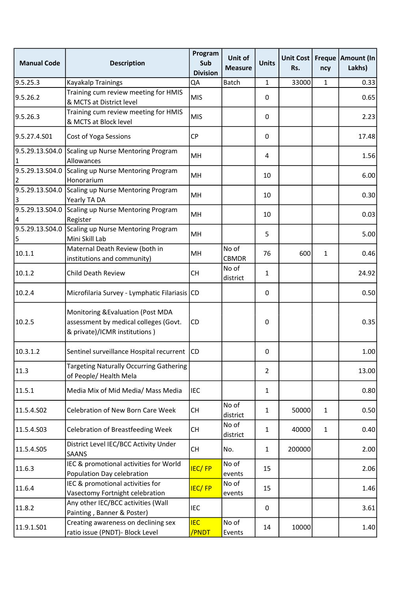| <b>Manual Code</b>    | <b>Description</b>                                                                                           | Program<br>Sub<br><b>Division</b> | Unit of<br><b>Measure</b> | <b>Units</b>   | Unit Cost<br>Rs. | ncy          | Freque   Amount (In<br>Lakhs) |
|-----------------------|--------------------------------------------------------------------------------------------------------------|-----------------------------------|---------------------------|----------------|------------------|--------------|-------------------------------|
| 9.5.25.3              | <b>Kayakalp Trainings</b>                                                                                    | QA                                | Batch                     | 1              | 33000            | 1            | 0.33                          |
| 9.5.26.2              | Training cum review meeting for HMIS<br>& MCTS at District level                                             | <b>MIS</b>                        |                           | 0              |                  |              | 0.65                          |
| 9.5.26.3              | Training cum review meeting for HMIS<br>& MCTS at Block level                                                | <b>MIS</b>                        |                           | 0              |                  |              | 2.23                          |
| 9.5.27.4.S01          | <b>Cost of Yoga Sessions</b>                                                                                 | <b>CP</b>                         |                           | 0              |                  |              | 17.48                         |
| 9.5.29.13.S04.0       | Scaling up Nurse Mentoring Program<br>Allowances                                                             | MH                                |                           | 4              |                  |              | 1.56                          |
| 9.5.29.13.S04.0       | Scaling up Nurse Mentoring Program<br>Honorarium                                                             | MH                                |                           | 10             |                  |              | 6.00                          |
| 9.5.29.13.S04.0<br>13 | Scaling up Nurse Mentoring Program<br>Yearly TA DA                                                           | MH                                |                           | 10             |                  |              | 0.30                          |
| 9.5.29.13.S04.0<br>4  | Scaling up Nurse Mentoring Program<br>Register                                                               | MH                                |                           | 10             |                  |              | 0.03                          |
| 9.5.29.13.S04.0<br>5  | Scaling up Nurse Mentoring Program<br>Mini Skill Lab                                                         | MH                                |                           | 5              |                  |              | 5.00                          |
| 10.1.1                | Maternal Death Review (both in<br>institutions and community)                                                | MH                                | No of<br>CBMDR            | 76             | 600              | $\mathbf{1}$ | 0.46                          |
| 10.1.2                | Child Death Review                                                                                           | <b>CH</b>                         | No of<br>district         | 1              |                  |              | 24.92                         |
| 10.2.4                | Microfilaria Survey - Lymphatic Filariasis CD                                                                |                                   |                           | 0              |                  |              | 0.50                          |
| 10.2.5                | Monitoring & Evaluation (Post MDA<br>assessment by medical colleges (Govt.<br>& private)/ICMR institutions ) | CD                                |                           | 0              |                  |              | 0.35                          |
| 10.3.1.2              | Sentinel surveillance Hospital recurrent                                                                     | <b>CD</b>                         |                           | 0              |                  |              | 1.00                          |
| 11.3                  | Targeting Naturally Occurring Gathering<br>of People/ Health Mela                                            |                                   |                           | $\overline{2}$ |                  |              | 13.00                         |
| 11.5.1                | Media Mix of Mid Media/ Mass Media                                                                           | <b>IEC</b>                        |                           | $\mathbf{1}$   |                  |              | 0.80                          |
| 11.5.4.S02            | Celebration of New Born Care Week                                                                            | <b>CH</b>                         | No of<br>district         | $\mathbf{1}$   | 50000            | $\mathbf{1}$ | 0.50                          |
| 11.5.4.S03            | <b>Celebration of Breastfeeding Week</b>                                                                     | <b>CH</b>                         | No of<br>district         | 1              | 40000            | $\mathbf{1}$ | 0.40                          |
| 11.5.4.S05            | District Level IEC/BCC Activity Under<br><b>SAANS</b>                                                        | <b>CH</b>                         | No.                       | $\mathbf{1}$   | 200000           |              | 2.00                          |
| 11.6.3                | IEC & promotional activities for World<br>Population Day celebration                                         | <b>IEC/FP</b>                     | No of<br>events           | 15             |                  |              | 2.06                          |
| 11.6.4                | IEC & promotional activities for<br>Vasectomy Fortnight celebration                                          | <b>IEC/FP</b>                     | No of<br>events           | 15             |                  |              | 1.46                          |
| 11.8.2                | Any other IEC/BCC activities (Wall<br>Painting, Banner & Poster)                                             | IEC                               |                           | 0              |                  |              | 3.61                          |
| 11.9.1.S01            | Creating awareness on declining sex<br>ratio issue (PNDT)- Block Level                                       | <b>IEC</b><br>/PNDT               | No of<br>Events           | 14             | 10000            |              | 1.40                          |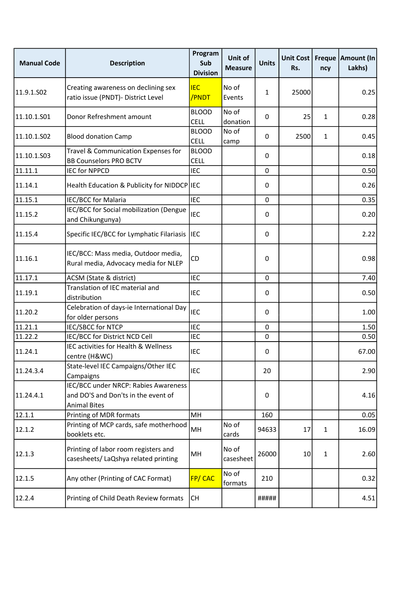| <b>Manual Code</b> | <b>Description</b>                                                                                 | Program<br>Sub<br><b>Division</b> | Unit of<br><b>Measure</b> | <b>Units</b> | Unit Cost<br>Rs. | ncy          | Freque   Amount (In<br>Lakhs) |
|--------------------|----------------------------------------------------------------------------------------------------|-----------------------------------|---------------------------|--------------|------------------|--------------|-------------------------------|
| 11.9.1.S02         | Creating awareness on declining sex<br>ratio issue (PNDT)- District Level                          | <b>IEC</b><br>/PNDT               | No of<br>Events           | 1            | 25000            |              | 0.25                          |
| 11.10.1.S01        | Donor Refreshment amount                                                                           | <b>BLOOD</b><br><b>CELL</b>       | No of<br>donation         | $\Omega$     | 25               | 1            | 0.28                          |
| 11.10.1.S02        | <b>Blood donation Camp</b>                                                                         | <b>BLOOD</b><br><b>CELL</b>       | No of<br>camp             | 0            | 2500             | $\mathbf{1}$ | 0.45                          |
| 11.10.1.503        | Travel & Communication Expenses for<br><b>BB Counselors PRO BCTV</b>                               | <b>BLOOD</b><br><b>CELL</b>       |                           | $\Omega$     |                  |              | 0.18                          |
| 11.11.1            | <b>IEC for NPPCD</b>                                                                               | <b>IEC</b>                        |                           | 0            |                  |              | 0.50                          |
| 11.14.1            | Health Education & Publicity for NIDDCP IEC                                                        |                                   |                           | 0            |                  |              | 0.26                          |
| 11.15.1            | IEC/BCC for Malaria                                                                                | <b>IEC</b>                        |                           | 0            |                  |              | 0.35                          |
| 11.15.2            | IEC/BCC for Social mobilization (Dengue<br>and Chikungunya)                                        | <b>IEC</b>                        |                           | 0            |                  |              | 0.20                          |
| 11.15.4            | Specific IEC/BCC for Lymphatic Filariasis                                                          | IEC                               |                           | 0            |                  |              | 2.22                          |
| 11.16.1            | IEC/BCC: Mass media, Outdoor media,<br>Rural media, Advocacy media for NLEP                        | CD                                |                           | 0            |                  |              | 0.98                          |
| 11.17.1            | ACSM (State & district)                                                                            | <b>IEC</b>                        |                           | 0            |                  |              | 7.40                          |
| 11.19.1            | Translation of IEC material and<br>distribution                                                    | IEC                               |                           | 0            |                  |              | 0.50                          |
| 11.20.2            | Celebration of days-ie International Day<br>for older persons                                      | <b>IEC</b>                        |                           | 0            |                  |              | 1.00                          |
| 11.21.1            | <b>IEC/SBCC for NTCP</b>                                                                           | <b>IEC</b>                        |                           | 0            |                  |              | 1.50                          |
| 11.22.2            | IEC/BCC for District NCD Cell                                                                      | <b>IEC</b>                        |                           | 0            |                  |              | 0.50                          |
| 11.24.1            | IEC activities for Health & Wellness<br>centre (H&WC)                                              | IEC                               |                           | 0            |                  |              | 67.00                         |
| 11.24.3.4          | State-level IEC Campaigns/Other IEC<br>Campaigns                                                   | <b>IEC</b>                        |                           | 20           |                  |              | 2.90                          |
| 11.24.4.1          | IEC/BCC under NRCP: Rabies Awareness<br>and DO'S and Don'ts in the event of<br><b>Animal Bites</b> |                                   |                           | 0            |                  |              | 4.16                          |
| 12.1.1             | Printing of MDR formats                                                                            | MH                                |                           | 160          |                  |              | 0.05                          |
| 12.1.2             | Printing of MCP cards, safe motherhood<br>booklets etc.                                            | MH                                | No of<br>cards            | 94633        | 17               | 1            | 16.09                         |
| 12.1.3             | Printing of labor room registers and<br>casesheets/ LaQshya related printing                       | MH                                | No of<br>casesheet        | 26000        | 10               | 1            | 2.60                          |
| 12.1.5             | Any other (Printing of CAC Format)                                                                 | FP/CAC                            | No of<br>formats          | 210          |                  |              | 0.32                          |
| 12.2.4             | Printing of Child Death Review formats                                                             | <b>CH</b>                         |                           | #####        |                  |              | 4.51                          |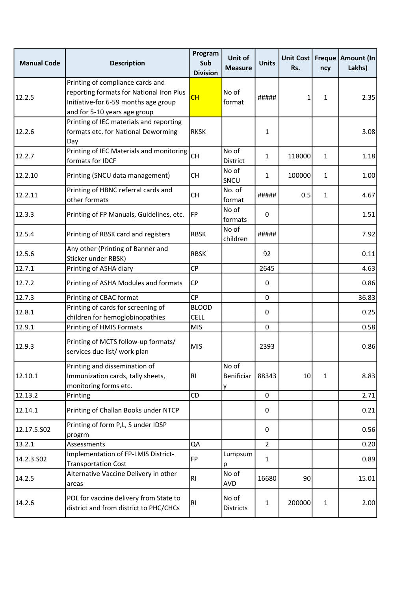| <b>Manual Code</b> | <b>Description</b>                                                                                                                                   | Program<br>Sub<br><b>Division</b> | Unit of<br><b>Measure</b> | <b>Units</b>   | Unit Cost<br>Rs. | ncy          | Freque   Amount (In<br>Lakhs) |
|--------------------|------------------------------------------------------------------------------------------------------------------------------------------------------|-----------------------------------|---------------------------|----------------|------------------|--------------|-------------------------------|
| 12.2.5             | Printing of compliance cards and<br>reporting formats for National Iron Plus<br>Initiative-for 6-59 months age group<br>and for 5-10 years age group | <b>CH</b>                         | No of<br>format           | #####          | 1                | 1            | 2.35                          |
| 12.2.6             | Printing of IEC materials and reporting<br>formats etc. for National Deworming<br>Day                                                                | <b>RKSK</b>                       |                           | 1              |                  |              | 3.08                          |
| 12.2.7             | Printing of IEC Materials and monitoring<br>formats for IDCF                                                                                         | CH                                | No of<br>District         | $\mathbf{1}$   | 118000           | $\mathbf{1}$ | 1.18                          |
| 12.2.10            | Printing (SNCU data management)                                                                                                                      | <b>CH</b>                         | No of<br>SNCU             | $\mathbf{1}$   | 100000           | $\mathbf{1}$ | 1.00                          |
| 12.2.11            | Printing of HBNC referral cards and<br>other formats                                                                                                 | <b>CH</b>                         | No. of<br>format          | #####          | 0.5              | $\mathbf{1}$ | 4.67                          |
| 12.3.3             | Printing of FP Manuals, Guidelines, etc.                                                                                                             | <b>FP</b>                         | No of<br>formats          | 0              |                  |              | 1.51                          |
| 12.5.4             | Printing of RBSK card and registers                                                                                                                  | <b>RBSK</b>                       | No of<br>children         | #####          |                  |              | 7.92                          |
| 12.5.6             | Any other (Printing of Banner and<br>Sticker under RBSK)                                                                                             | <b>RBSK</b>                       |                           | 92             |                  |              | 0.11                          |
| 12.7.1             | Printing of ASHA diary                                                                                                                               | CP                                |                           | 2645           |                  |              | 4.63                          |
| 12.7.2             | Printing of ASHA Modules and formats                                                                                                                 | <b>CP</b>                         |                           | 0              |                  |              | 0.86                          |
| 12.7.3             | Printing of CBAC format                                                                                                                              | <b>CP</b>                         |                           | 0              |                  |              | 36.83                         |
| 12.8.1             | Printing of cards for screening of<br>children for hemoglobinopathies                                                                                | <b>BLOOD</b><br><b>CELL</b>       |                           | 0              |                  |              | 0.25                          |
| 12.9.1             | Printing of HMIS Formats                                                                                                                             | <b>MIS</b>                        |                           | 0              |                  |              | 0.58                          |
| 12.9.3             | Printing of MCTS follow-up formats/<br>services due list/ work plan                                                                                  | <b>MIS</b>                        |                           | 2393           |                  |              | 0.86                          |
| 12.10.1            | Printing and dissemination of<br>Immunization cards, tally sheets,<br>monitoring forms etc.                                                          | R <sub>1</sub>                    | No of<br>Benificiar<br>у  | 88343          | 10               | 1            | 8.83                          |
| 12.13.2            | Printing                                                                                                                                             | CD                                |                           | 0              |                  |              | 2.71                          |
| 12.14.1            | Printing of Challan Books under NTCP                                                                                                                 |                                   |                           | 0              |                  |              | 0.21                          |
| 12.17.5.502        | Printing of form P,L, S under IDSP<br>progrm                                                                                                         |                                   |                           | 0              |                  |              | 0.56                          |
| 13.2.1             | Assessments                                                                                                                                          | QA                                |                           | $\overline{2}$ |                  |              | 0.20                          |
| 14.2.3.SO2         | Implementation of FP-LMIS District-<br><b>Transportation Cost</b>                                                                                    | <b>FP</b>                         | Lumpsum<br>p              | $\mathbf{1}$   |                  |              | 0.89                          |
| 14.2.5             | Alternative Vaccine Delivery in other<br>areas                                                                                                       | RI.                               | No of<br><b>AVD</b>       | 16680          | 90               |              | 15.01                         |
| 14.2.6             | POL for vaccine delivery from State to<br>district and from district to PHC/CHCs                                                                     | <b>RI</b>                         | No of<br><b>Districts</b> | 1              | 200000           | $\mathbf{1}$ | 2.00                          |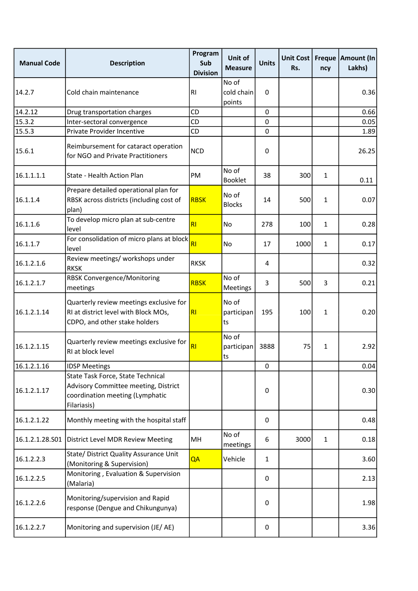| <b>Manual Code</b> | <b>Description</b>                                                                                                          | Program<br>Sub<br><b>Division</b> | Unit of<br><b>Measure</b>     | <b>Units</b> | <b>Unit Cost</b><br>Rs. | ncy          | Freque   Amount (In<br>Lakhs) |
|--------------------|-----------------------------------------------------------------------------------------------------------------------------|-----------------------------------|-------------------------------|--------------|-------------------------|--------------|-------------------------------|
| 14.2.7             | Cold chain maintenance                                                                                                      | <b>RI</b>                         | No of<br>cold chain<br>points | $\Omega$     |                         |              | 0.36                          |
| 14.2.12            | Drug transportation charges                                                                                                 | <b>CD</b>                         |                               | 0            |                         |              | 0.66                          |
| 15.3.2             | Inter-sectoral convergence                                                                                                  | CD                                |                               | 0            |                         |              | 0.05                          |
| 15.5.3             | Private Provider Incentive                                                                                                  | CD                                |                               | 0            |                         |              | 1.89                          |
| 15.6.1             | Reimbursement for cataract operation<br>for NGO and Private Practitioners                                                   | <b>NCD</b>                        |                               | 0            |                         |              | 26.25                         |
| 16.1.1.1.1         | State - Health Action Plan                                                                                                  | PM                                | No of<br><b>Booklet</b>       | 38           | 300                     | $\mathbf{1}$ | 0.11                          |
| 16.1.1.4           | Prepare detailed operational plan for<br>RBSK across districts (including cost of<br>plan)                                  | <b>RBSK</b>                       | No of<br><b>Blocks</b>        | 14           | 500                     | $\mathbf{1}$ | 0.07                          |
| 16.1.1.6           | To develop micro plan at sub-centre<br>level                                                                                | RI                                | <b>No</b>                     | 278          | 100                     | $\mathbf{1}$ | 0.28                          |
| 16.1.1.7           | For consolidation of micro plans at block<br>level                                                                          | RI                                | <b>No</b>                     | 17           | 1000                    | $\mathbf{1}$ | 0.17                          |
| 16.1.2.1.6         | Review meetings/ workshops under<br><b>RKSK</b>                                                                             | <b>RKSK</b>                       |                               | 4            |                         |              | 0.32                          |
| 16.1.2.1.7         | <b>RBSK Convergence/Monitoring</b><br>meetings                                                                              | <b>RBSK</b>                       | No of<br>Meetings             | 3            | 500                     | 3            | 0.21                          |
| 16.1.2.1.14        | Quarterly review meetings exclusive for<br>RI at district level with Block MOs,<br>CDPO, and other stake holders            | R <sub>l</sub>                    | No of<br>participan<br>ts     | 195          | 100                     | $\mathbf{1}$ | 0.20                          |
| 16.1.2.1.15        | Quarterly review meetings exclusive for<br>RI at block level                                                                | RI                                | No of<br>participan<br>lts    | 3888         | 75                      | $\mathbf{1}$ | 2.92                          |
| 16.1.2.1.16        | <b>IDSP Meetings</b>                                                                                                        |                                   |                               | 0            |                         |              | 0.04                          |
| 16.1.2.1.17        | State Task Force, State Technical<br>Advisory Committee meeting, District<br>coordination meeting (Lymphatic<br>Filariasis) |                                   |                               | 0            |                         |              | 0.30                          |
| 16.1.2.1.22        | Monthly meeting with the hospital staff                                                                                     |                                   |                               | 0            |                         |              | 0.48                          |
| 16.1.2.1.28.S01    | District Level MDR Review Meeting                                                                                           | MН                                | No of<br>meetings             | 6            | 3000                    | $\mathbf{1}$ | 0.18                          |
| 16.1.2.2.3         | State/ District Quality Assurance Unit<br>(Monitoring & Supervision)                                                        | QA                                | Vehicle                       | $\mathbf{1}$ |                         |              | 3.60                          |
| 16.1.2.2.5         | Monitoring, Evaluation & Supervision<br>(Malaria)                                                                           |                                   |                               | 0            |                         |              | 2.13                          |
| 16.1.2.2.6         | Monitoring/supervision and Rapid<br>response (Dengue and Chikungunya)                                                       |                                   |                               | 0            |                         |              | 1.98                          |
| 16.1.2.2.7         | Monitoring and supervision (JE/AE)                                                                                          |                                   |                               | 0            |                         |              | 3.36                          |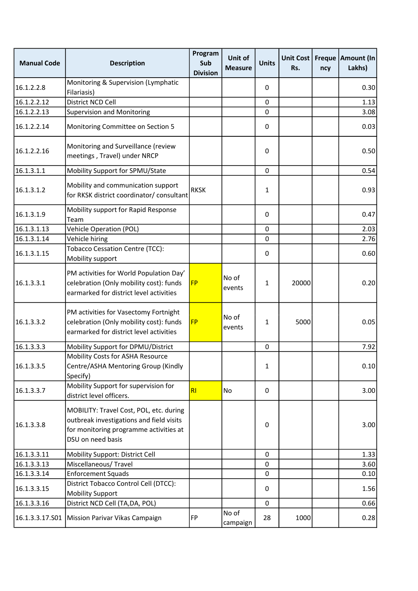| <b>Manual Code</b> | <b>Description</b>                                                                                                                                 | Program<br>Sub<br><b>Division</b> | Unit of<br><b>Measure</b> | <b>Units</b> | <b>Unit Cost</b><br>Rs. | ncy | Freque   Amount (In<br>Lakhs) |
|--------------------|----------------------------------------------------------------------------------------------------------------------------------------------------|-----------------------------------|---------------------------|--------------|-------------------------|-----|-------------------------------|
| 16.1.2.2.8         | Monitoring & Supervision (Lymphatic<br>Filariasis)                                                                                                 |                                   |                           | 0            |                         |     | 0.30                          |
| 16.1.2.2.12        | District NCD Cell                                                                                                                                  |                                   |                           | $\pmb{0}$    |                         |     | 1.13                          |
| 16.1.2.2.13        | <b>Supervision and Monitoring</b>                                                                                                                  |                                   |                           | 0            |                         |     | 3.08                          |
| 16.1.2.2.14        | Monitoring Committee on Section 5                                                                                                                  |                                   |                           | 0            |                         |     | 0.03                          |
| 16.1.2.2.16        | Monitoring and Surveillance (review<br>meetings, Travel) under NRCP                                                                                |                                   |                           | 0            |                         |     | 0.50                          |
| 16.1.3.1.1         | Mobility Support for SPMU/State                                                                                                                    |                                   |                           | $\pmb{0}$    |                         |     | 0.54                          |
| 16.1.3.1.2         | Mobility and communication support<br>for RKSK district coordinator/ consultant                                                                    | <b>RKSK</b>                       |                           | 1            |                         |     | 0.93                          |
| 16.1.3.1.9         | Mobility support for Rapid Response<br>Team                                                                                                        |                                   |                           | 0            |                         |     | 0.47                          |
| 16.1.3.1.13        | <b>Vehicle Operation (POL)</b>                                                                                                                     |                                   |                           | 0            |                         |     | 2.03                          |
| 16.1.3.1.14        | Vehicle hiring                                                                                                                                     |                                   |                           | 0            |                         |     | 2.76                          |
| 16.1.3.1.15        | Tobacco Cessation Centre (TCC):<br>Mobility support                                                                                                |                                   |                           | 0            |                         |     | 0.60                          |
| 16.1.3.3.1         | PM activities for World Population Day'<br>celebration (Only mobility cost): funds<br>earmarked for district level activities                      | <b>FP</b>                         | No of<br>events           | $\mathbf{1}$ | 20000                   |     | 0.20                          |
| 16.1.3.3.2         | PM activities for Vasectomy Fortnight<br>celebration (Only mobility cost): funds<br>earmarked for district level activities                        | <b>FP</b>                         | No of<br>events           | $\mathbf{1}$ | 5000                    |     | 0.05                          |
| 16.1.3.3.3         | Mobility Support for DPMU/District                                                                                                                 |                                   |                           | $\pmb{0}$    |                         |     | 7.92                          |
| 16.1.3.3.5         | Mobility Costs for ASHA Resource<br>Centre/ASHA Mentoring Group (Kindly<br>Specify)                                                                |                                   |                           | $\mathbf{1}$ |                         |     | 0.10                          |
| 16.1.3.3.7         | Mobility Support for supervision for<br>district level officers.                                                                                   | RI                                | No                        | 0            |                         |     | 3.00                          |
| 16.1.3.3.8         | MOBILITY: Travel Cost, POL, etc. during<br>outbreak investigations and field visits<br>for monitoring programme activities at<br>DSU on need basis |                                   |                           | 0            |                         |     | 3.00                          |
| 16.1.3.3.11        | Mobility Support: District Cell                                                                                                                    |                                   |                           | 0            |                         |     | 1.33                          |
| 16.1.3.3.13        | Miscellaneous/Travel                                                                                                                               |                                   |                           | 0            |                         |     | 3.60                          |
| 16.1.3.3.14        | <b>Enforcement Squads</b>                                                                                                                          |                                   |                           | 0            |                         |     | 0.10                          |
| 16.1.3.3.15        | District Tobacco Control Cell (DTCC):<br><b>Mobility Support</b>                                                                                   |                                   |                           | 0            |                         |     | 1.56                          |
| 16.1.3.3.16        | District NCD Cell (TA, DA, POL)                                                                                                                    |                                   |                           | 0            |                         |     | 0.66                          |
| 16.1.3.3.17.501    | Mission Parivar Vikas Campaign                                                                                                                     | <b>FP</b>                         | No of<br>campaign         | 28           | 1000                    |     | 0.28                          |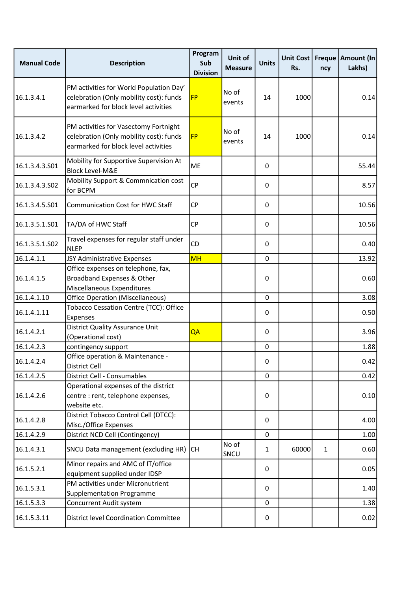| <b>Manual Code</b> | <b>Description</b>                                                                                                         | Program<br>Sub<br><b>Division</b> | Unit of<br><b>Measure</b> | <b>Units</b> | <b>Unit Cost</b><br>Rs. | ncy          | Freque   Amount (In<br>Lakhs) |
|--------------------|----------------------------------------------------------------------------------------------------------------------------|-----------------------------------|---------------------------|--------------|-------------------------|--------------|-------------------------------|
| 16.1.3.4.1         | PM activities for World Population Day'<br>celebration (Only mobility cost): funds<br>earmarked for block level activities | <b>FP</b>                         | No of<br>events           | 14           | 1000                    |              | 0.14                          |
| 16.1.3.4.2         | PM activities for Vasectomy Fortnight<br>celebration (Only mobility cost): funds<br>earmarked for block level activities   | <b>FP</b>                         | No of<br>events           | 14           | 1000                    |              | 0.14                          |
| 16.1.3.4.3.S01     | Mobility for Supportive Supervision At<br><b>Block Level-M&amp;E</b>                                                       | <b>ME</b>                         |                           | 0            |                         |              | 55.44                         |
| 16.1.3.4.3.S02     | Mobility Support & Commnication cost<br>for BCPM                                                                           | CP                                |                           | 0            |                         |              | 8.57                          |
| 16.1.3.4.5.S01     | <b>Communication Cost for HWC Staff</b>                                                                                    | <b>CP</b>                         |                           | 0            |                         |              | 10.56                         |
| 16.1.3.5.1.S01     | TA/DA of HWC Staff                                                                                                         | <b>CP</b>                         |                           | 0            |                         |              | 10.56                         |
| 16.1.3.5.1.S02     | Travel expenses for regular staff under<br><b>NLEP</b>                                                                     | CD                                |                           | 0            |                         |              | 0.40                          |
| 16.1.4.1.1         | JSY Administrative Expenses                                                                                                | <b>MH</b>                         |                           | 0            |                         |              | 13.92                         |
| 16.1.4.1.5         | Office expenses on telephone, fax,<br>Broadband Expenses & Other<br>Miscellaneous Expenditures                             |                                   |                           | 0            |                         |              | 0.60                          |
| 16.1.4.1.10        | <b>Office Operation (Miscellaneous)</b>                                                                                    |                                   |                           | 0            |                         |              | 3.08                          |
| 16.1.4.1.11        | Tobacco Cessation Centre (TCC): Office<br>Expenses                                                                         |                                   |                           | 0            |                         |              | 0.50                          |
| 16.1.4.2.1         | <b>District Quality Assurance Unit</b><br>(Operational cost)                                                               | QA                                |                           | 0            |                         |              | 3.96                          |
| 16.1.4.2.3         | contingency support                                                                                                        |                                   |                           | 0            |                         |              | 1.88                          |
| 16.1.4.2.4         | Office operation & Maintenance -<br>District Cell                                                                          |                                   |                           | 0            |                         |              | 0.42                          |
| 16.1.4.2.5         | <b>District Cell - Consumables</b>                                                                                         |                                   |                           | 0            |                         |              | 0.42                          |
| 16.1.4.2.6         | Operational expenses of the district<br>centre : rent, telephone expenses,<br>website etc.                                 |                                   |                           | 0            |                         |              | 0.10                          |
| 16.1.4.2.8         | District Tobacco Control Cell (DTCC):<br>Misc./Office Expenses                                                             |                                   |                           | 0            |                         |              | 4.00                          |
| 16.1.4.2.9         | District NCD Cell (Contingency)                                                                                            |                                   |                           | 0            |                         |              | 1.00                          |
| 16.1.4.3.1         | SNCU Data management (excluding HR)                                                                                        | <b>CH</b>                         | No of<br>SNCU             | 1            | 60000                   | $\mathbf{1}$ | 0.60                          |
| 16.1.5.2.1         | Minor repairs and AMC of IT/office<br>equipment supplied under IDSP                                                        |                                   |                           | 0            |                         |              | 0.05                          |
| 16.1.5.3.1         | PM activities under Micronutrient<br>Supplementation Programme                                                             |                                   |                           | 0            |                         |              | 1.40                          |
| 16.1.5.3.3         | Concurrent Audit system                                                                                                    |                                   |                           | 0            |                         |              | 1.38                          |
| 16.1.5.3.11        | <b>District level Coordination Committee</b>                                                                               |                                   |                           | 0            |                         |              | 0.02                          |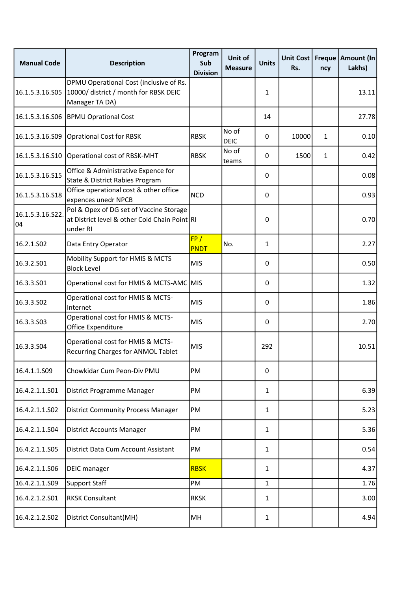| <b>Manual Code</b>    | <b>Description</b>                                                                                   | Program<br>Sub<br><b>Division</b> | Unit of<br><b>Measure</b> | <b>Units</b> | Unit Cost<br>Rs. | ncy          | Freque   Amount (In<br>Lakhs) |
|-----------------------|------------------------------------------------------------------------------------------------------|-----------------------------------|---------------------------|--------------|------------------|--------------|-------------------------------|
| 16.1.5.3.16.S05       | DPMU Operational Cost (inclusive of Rs.<br>10000/ district / month for RBSK DEIC<br>Manager TA DA)   |                                   |                           | $\mathbf{1}$ |                  |              | 13.11                         |
| 16.1.5.3.16.S06       | <b>BPMU Oprational Cost</b>                                                                          |                                   |                           | 14           |                  |              | 27.78                         |
| 16.1.5.3.16.S09       | Oprational Cost for RBSK                                                                             | <b>RBSK</b>                       | No of<br><b>DEIC</b>      | 0            | 10000            | $\mathbf{1}$ | 0.10                          |
| 16.1.5.3.16.S10       | Operational cost of RBSK-MHT                                                                         | <b>RBSK</b>                       | No of<br>teams            | 0            | 1500             | $\mathbf{1}$ | 0.42                          |
| 16.1.5.3.16.S15       | Office & Administrative Expence for<br>State & District Rabies Program                               |                                   |                           | 0            |                  |              | 0.08                          |
| 16.1.5.3.16.S18       | Office operational cost & other office<br>expences unedr NPCB                                        | <b>NCD</b>                        |                           | 0            |                  |              | 0.93                          |
| 16.1.5.3.16.S22<br>04 | Pol & Opex of DG set of Vaccine Storage<br>at District level & other Cold Chain Point RI<br>under RI |                                   |                           | 0            |                  |              | 0.70                          |
| 16.2.1.S02            | Data Entry Operator                                                                                  | FP/<br><b>PNDT</b>                | No.                       | $\mathbf{1}$ |                  |              | 2.27                          |
| 16.3.2.S01            | Mobility Support for HMIS & MCTS<br><b>Block Level</b>                                               | <b>MIS</b>                        |                           | 0            |                  |              | 0.50                          |
| 16.3.3.501            | Operational cost for HMIS & MCTS-AMC MIS                                                             |                                   |                           | 0            |                  |              | 1.32                          |
| 16.3.3.S02            | Operational cost for HMIS & MCTS-<br>Internet                                                        | <b>MIS</b>                        |                           | 0            |                  |              | 1.86                          |
| 16.3.3.503            | Operational cost for HMIS & MCTS-<br>Office Expenditure                                              | <b>MIS</b>                        |                           | 0            |                  |              | 2.70                          |
| 16.3.3.504            | Operational cost for HMIS & MCTS-<br><b>Recurring Charges for ANMOL Tablet</b>                       | <b>MIS</b>                        |                           | 292          |                  |              | 10.51                         |
| 16.4.1.1.S09          | Chowkidar Cum Peon-Div PMU                                                                           | PM                                |                           | 0            |                  |              |                               |
| 16.4.2.1.1.S01        | District Programme Manager                                                                           | PM                                |                           | $\mathbf{1}$ |                  |              | 6.39                          |
| 16.4.2.1.1.S02        | <b>District Community Process Manager</b>                                                            | PM                                |                           | 1            |                  |              | 5.23                          |
| 16.4.2.1.1.S04        | <b>District Accounts Manager</b>                                                                     | PM                                |                           | $\mathbf{1}$ |                  |              | 5.36                          |
| 16.4.2.1.1.S05        | District Data Cum Account Assistant                                                                  | PM                                |                           | $\mathbf{1}$ |                  |              | 0.54                          |
| 16.4.2.1.1.S06        | <b>DEIC</b> manager                                                                                  | <b>RBSK</b>                       |                           | $\mathbf{1}$ |                  |              | 4.37                          |
| 16.4.2.1.1.S09        | Support Staff                                                                                        | PM                                |                           | $\mathbf{1}$ |                  |              | 1.76                          |
| 16.4.2.1.2.S01        | <b>RKSK Consultant</b>                                                                               | <b>RKSK</b>                       |                           | 1            |                  |              | 3.00                          |
| 16.4.2.1.2.S02        | District Consultant(MH)                                                                              | MH                                |                           | $\mathbf{1}$ |                  |              | 4.94                          |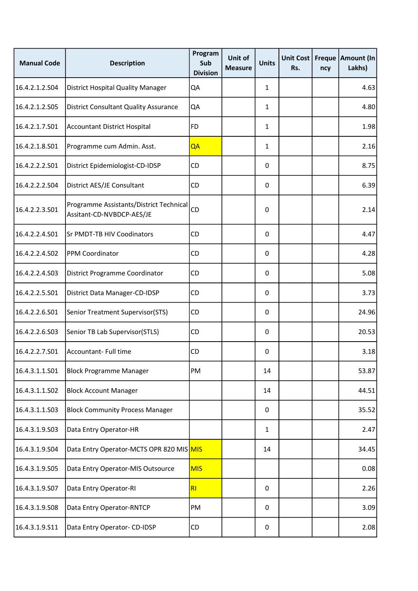| <b>Manual Code</b> | <b>Description</b>                                                   | Program<br>Sub<br><b>Division</b> | Unit of<br><b>Measure</b> | <b>Units</b> | Unit Cost<br>Rs. | ncy | Freque   Amount (In<br>Lakhs) |
|--------------------|----------------------------------------------------------------------|-----------------------------------|---------------------------|--------------|------------------|-----|-------------------------------|
| 16.4.2.1.2.504     | <b>District Hospital Quality Manager</b>                             | QA                                |                           | 1            |                  |     | 4.63                          |
| 16.4.2.1.2.S05     | <b>District Consultant Quality Assurance</b>                         | QA                                |                           | $\mathbf{1}$ |                  |     | 4.80                          |
| 16.4.2.1.7.S01     | <b>Accountant District Hospital</b>                                  | <b>FD</b>                         |                           | $\mathbf{1}$ |                  |     | 1.98                          |
| 16.4.2.1.8.S01     | Programme cum Admin. Asst.                                           | QA                                |                           | 1            |                  |     | 2.16                          |
| 16.4.2.2.2.S01     | District Epidemiologist-CD-IDSP                                      | CD                                |                           | $\pmb{0}$    |                  |     | 8.75                          |
| 16.4.2.2.2.S04     | District AES/JE Consultant                                           | CD                                |                           | 0            |                  |     | 6.39                          |
| 16.4.2.2.3.S01     | Programme Assistants/District Technical<br>Assitant-CD-NVBDCP-AES/JE | CD                                |                           | 0            |                  |     | 2.14                          |
| 16.4.2.2.4.S01     | Sr PMDT-TB HIV Coodinators                                           | CD                                |                           | 0            |                  |     | 4.47                          |
| 16.4.2.2.4.502     | PPM Coordinator                                                      | <b>CD</b>                         |                           | 0            |                  |     | 4.28                          |
| 16.4.2.2.4.S03     | District Programme Coordinator                                       | CD                                |                           | 0            |                  |     | 5.08                          |
| 16.4.2.2.5.S01     | District Data Manager-CD-IDSP                                        | CD                                |                           | 0            |                  |     | 3.73                          |
| 16.4.2.2.6.S01     | Senior Treatment Supervisor(STS)                                     | <b>CD</b>                         |                           | 0            |                  |     | 24.96                         |
| 16.4.2.2.6.S03     | Senior TB Lab Supervisor(STLS)                                       | CD                                |                           | $\pmb{0}$    |                  |     | 20.53                         |
| 16.4.2.2.7.S01     | Accountant- Full time                                                | CD                                |                           | 0            |                  |     | 3.18                          |
| 16.4.3.1.1.S01     | <b>Block Programme Manager</b>                                       | PM                                |                           | 14           |                  |     | 53.87                         |
| 16.4.3.1.1.S02     | <b>Block Account Manager</b>                                         |                                   |                           | 14           |                  |     | 44.51                         |
| 16.4.3.1.1.S03     | <b>Block Community Process Manager</b>                               |                                   |                           | 0            |                  |     | 35.52                         |
| 16.4.3.1.9.503     | Data Entry Operator-HR                                               |                                   |                           | 1            |                  |     | 2.47                          |
| 16.4.3.1.9.S04     | Data Entry Operator-MCTS OPR 820 MIS MIS                             |                                   |                           | 14           |                  |     | 34.45                         |
| 16.4.3.1.9.S05     | Data Entry Operator-MIS Outsource                                    | <b>MIS</b>                        |                           |              |                  |     | 0.08                          |
| 16.4.3.1.9.S07     | Data Entry Operator-RI                                               | RI                                |                           | 0            |                  |     | 2.26                          |
| 16.4.3.1.9.508     | Data Entry Operator-RNTCP                                            | PM                                |                           | $\pmb{0}$    |                  |     | 3.09                          |
| 16.4.3.1.9.511     | Data Entry Operator- CD-IDSP                                         | CD                                |                           | 0            |                  |     | 2.08                          |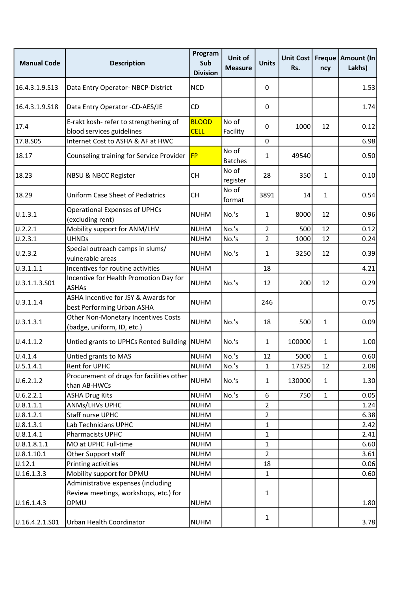| <b>Manual Code</b> | <b>Description</b>                                                          | Program<br>Sub<br><b>Division</b> | Unit of<br><b>Measure</b> | <b>Units</b>   | Unit Cost<br>Rs. | ncy          | Freque   Amount (In<br>Lakhs) |
|--------------------|-----------------------------------------------------------------------------|-----------------------------------|---------------------------|----------------|------------------|--------------|-------------------------------|
| 16.4.3.1.9.S13     | Data Entry Operator-NBCP-District                                           | <b>NCD</b>                        |                           | 0              |                  |              | 1.53                          |
| 16.4.3.1.9.S18     | Data Entry Operator -CD-AES/JE                                              | <b>CD</b>                         |                           | 0              |                  |              | 1.74                          |
| 17.4               | E-rakt kosh- refer to strengthening of<br>blood services guidelines         | <b>BLOOD</b><br><b>CELL</b>       | No of<br>Facility         | $\Omega$       | 1000             | 12           | 0.12                          |
| 17.8.S05           | Internet Cost to ASHA & AF at HWC                                           |                                   |                           | 0              |                  |              | 6.98                          |
| 18.17              | Counseling training for Service Provider                                    | <b>FP</b>                         | No of<br><b>Batches</b>   | $\mathbf{1}$   | 49540            |              | 0.50                          |
| 18.23              | <b>NBSU &amp; NBCC Register</b>                                             | <b>CH</b>                         | No of<br>register         | 28             | 350              | $\mathbf{1}$ | 0.10                          |
| 18.29              | Uniform Case Sheet of Pediatrics                                            | <b>CH</b>                         | No of<br>format           | 3891           | 14               | $\mathbf{1}$ | 0.54                          |
| 0.1.3.1            | <b>Operational Expenses of UPHCs</b><br>(excluding rent)                    | <b>NUHM</b>                       | No.'s                     | $\mathbf{1}$   | 8000             | 12           | 0.96                          |
| U.2.2.1            | Mobility support for ANM/LHV                                                | <b>NUHM</b>                       | No.'s                     | $\overline{2}$ | 500              | 12           | 0.12                          |
| U.2.3.1            | <b>UHNDs</b>                                                                | <b>NUHM</b>                       | No.'s                     | $\overline{2}$ | 1000             | 12           | 0.24                          |
| U.2.3.2            | Special outreach camps in slums/<br>vulnerable areas                        | <b>NUHM</b>                       | No.'s                     | $\mathbf{1}$   | 3250             | 12           | 0.39                          |
| 0.3.1.1.1          | Incentives for routine activities                                           | <b>NUHM</b>                       |                           | 18             |                  |              | 4.21                          |
| U.3.1.1.3.S01      | Incentive for Health Promotion Day for<br><b>ASHAs</b>                      | <b>NUHM</b>                       | No.'s                     | 12             | 200              | 12           | 0.29                          |
| U.3.1.1.4          | ASHA Incentive for JSY & Awards for<br>best Performing Urban ASHA           | <b>NUHM</b>                       |                           | 246            |                  |              | 0.75                          |
| U.3.1.3.1          | Other Non-Monetary Incentives Costs<br>(badge, uniform, ID, etc.)           | <b>NUHM</b>                       | No.'s                     | 18             | 500              | $\mathbf{1}$ | 0.09                          |
| U.4.1.1.2          | Untied grants to UPHCs Rented Building NUHM                                 |                                   | No.'s                     | $\mathbf{1}$   | 100000           | $\mathbf{1}$ | 1.00                          |
| U.4.1.4            | Untied grants to MAS                                                        | <b>NUHM</b>                       | No.'s                     | 12             | 5000             | $\mathbf{1}$ | 0.60                          |
| U.5.1.4.1          | <b>Rent for UPHC</b>                                                        | <b>NUHM</b>                       | No.'s                     | $\mathbf{1}$   | 17325            | 12           | 2.08                          |
| U.6.2.1.2          | Procurement of drugs for facilities other<br>than AB-HWCs                   | <b>NUHM</b>                       | No.'s                     | $\mathbf{1}$   | 130000           | $\mathbf{1}$ | 1.30                          |
| U.6.2.2.1          | <b>ASHA Drug Kits</b>                                                       | <b>NUHM</b>                       | No.'s                     | 6              | 750              | $\mathbf{1}$ | 0.05                          |
| U.8.1.1.1          | ANMs/LHVs UPHC                                                              | <b>NUHM</b>                       |                           | $\overline{2}$ |                  |              | 1.24                          |
| U.8.1.2.1          | Staff nurse UPHC                                                            | <b>NUHM</b>                       |                           | $\overline{2}$ |                  |              | 6.38                          |
| U.8.1.3.1          | Lab Technicians UPHC                                                        | <b>NUHM</b>                       |                           | $\mathbf{1}$   |                  |              | 2.42                          |
| U.8.1.4.1          | <b>Pharmacists UPHC</b>                                                     | <b>NUHM</b>                       |                           | $\mathbf{1}$   |                  |              | 2.41                          |
| U.8.1.8.1.1        | MO at UPHC Full-time                                                        | <b>NUHM</b>                       |                           | 1              |                  |              | 6.60                          |
| 0.8.1.10.1         | Other Support staff                                                         | <b>NUHM</b>                       |                           | $\overline{2}$ |                  |              | 3.61                          |
| U.12.1             | Printing activities                                                         | <b>NUHM</b>                       |                           | 18             |                  |              | 0.06                          |
| U.16.1.3.3         | Mobility support for DPMU                                                   | <b>NUHM</b>                       |                           | $\mathbf{1}$   |                  |              | 0.60                          |
|                    | Administrative expenses (including<br>Review meetings, workshops, etc.) for |                                   |                           | 1              |                  |              |                               |
| U.16.1.4.3         | DPMU                                                                        | <b>NUHM</b>                       |                           |                |                  |              | 1.80                          |
| U.16.4.2.1.S01     | Urban Health Coordinator                                                    | <b>NUHM</b>                       |                           | $\mathbf{1}$   |                  |              | 3.78                          |